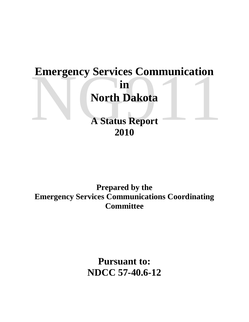# **Emergency Services Communication<br>
in<br>
North Dakota<br>
A Status Report<br>
2010 in North Dakota**

**A Status Report 2010**

**Prepared by the Emergency Services Communications Coordinating Committee**

> **Pursuant to: NDCC 57-40.6-12**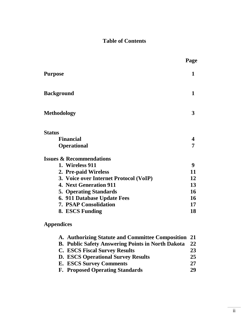# **Table of Contents**

|                                        | Page             |
|----------------------------------------|------------------|
| <b>Purpose</b>                         | 1                |
| <b>Background</b>                      | 1                |
| <b>Methodology</b>                     | 3                |
| <b>Status</b>                          |                  |
| <b>Financial</b>                       | $\boldsymbol{4}$ |
| <b>Operational</b>                     | 7                |
| <b>Issues &amp; Recommendations</b>    |                  |
| 1. Wireless 911                        | 9                |
| 2. Pre-paid Wireless                   | 11               |
| 3. Voice over Internet Protocol (VoIP) | 12               |
| <b>4. Next Generation 911</b>          | 13               |
| <b>5. Operating Standards</b>          | 16               |
| 6. 911 Database Update Fees            | 16               |
| <b>7. PSAP Consolidation</b>           | 17               |
| 8. ESCS Funding                        | 18               |

# **Appendices**

| A. Authorizing Statute and Committee Composition 21 |    |
|-----------------------------------------------------|----|
| B. Public Safety Answering Points in North Dakota   | 22 |
| <b>C. ESCS Fiscal Survey Results</b>                | 23 |
| <b>D. ESCS Operational Survey Results</b>           | 25 |
| <b>E. ESCS Survey Comments</b>                      | 27 |
| <b>F. Proposed Operating Standards</b>              | 29 |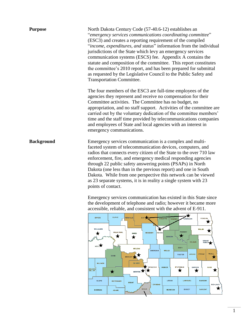| <b>Purpose</b>    | North Dakota Century Code (57-40.6-12) establishes an<br>"emergency services communications coordinating committee"<br>(ESC3) and creates a reporting requirement of the compiled<br>"income, expenditures, and status" information from the individual<br>jurisdictions of the State which levy an emergency services<br>communication systems (ESCS) fee. Appendix A contains the<br>statute and composition of the committee. This report constitutes<br>the committee's 2010 report, and has been prepared for submittal<br>as requested by the Legislative Council to the Public Safety and<br><b>Transportation Committee.</b> |
|-------------------|--------------------------------------------------------------------------------------------------------------------------------------------------------------------------------------------------------------------------------------------------------------------------------------------------------------------------------------------------------------------------------------------------------------------------------------------------------------------------------------------------------------------------------------------------------------------------------------------------------------------------------------|
|                   | The four members of the ESC3 are full-time employees of the<br>agencies they represent and receive no compensation for their<br>Committee activities. The Committee has no budget, no<br>appropriation, and no staff support. Activities of the committee are<br>carried out by the voluntary dedication of the committee members'<br>time and the staff time provided by telecommunications companies<br>and employees of State and local agencies with an interest in<br>emergency communications.                                                                                                                                 |
| <b>Background</b> | Emergency services communication is a complex and multi-<br>faceted system of telecommunication devices, computers, and<br>radios that connects every citizen of the State to the over 710 law<br>enforcement, fire, and emergency medical responding agencies<br>through 22 public safety answering points (PSAPs) in North<br>Dakota (one less than in the previous report) and one in South<br>Dakota. While from one perspective this network can be viewed<br>as 23 separate systems, it is in reality a single system with 23<br>points of contact.<br>Emergency services communication has existed in this State since        |
|                   | the development of telephone and radio; however it became more<br>accessible, reliable, and consistent with the advent of E-911.                                                                                                                                                                                                                                                                                                                                                                                                                                                                                                     |

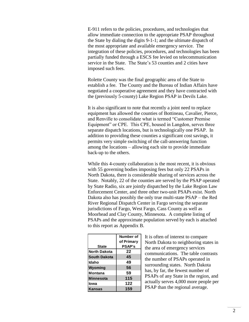E-911 refers to the policies, procedures, and technologies that allow immediate connection to the appropriate PSAP throughout the State by dialing the digits 9-1-1; and the ultimate dispatch of the most appropriate and available emergency service. The integration of these policies, procedures, and technologies has been partially funded through a ESCS fee levied on telecommunication service in the State. The State's 53 counties and 2 cities have imposed such fees.

Rolette County was the final geographic area of the State to establish a fee. The County and the Bureau of Indian Affairs have negotiated a cooperative agreement and they have contracted with the (previously 5-county) Lake Region PSAP in Devils Lake.

It is also significant to note that recently a joint need to replace equipment has allowed the counties of Bottineau, Cavalier, Pierce, and Renville to consolidate what is termed "Customer Premise Equipment" or CPE. This CPE, housed in Langdon, serves three separate dispatch locations, but is technologically one PSAP. In addition to providing these counties a significant cost savings, it permits very simple switching of the call-answering function among the locations – allowing each site to provide immediate back-up to the others.

While this 4-county collaboration is the most recent, it is obvious with 55 governing bodies imposing fees but only 22 PSAPs in North Dakota, there is considerable sharing of services across the State. Notably, 22 of the counties are served by the PSAP operated by State Radio, six are jointly dispatched by the Lake Region Law Enforcement Center, and three other two-unit PSAPs exist. North Dakota also has possibly the only true multi-state PSAP – the Red River Regional Dispatch Center in Fargo serving the separate jurisdictions of Fargo, West Fargo, Cass County as well as Moorhead and Clay County, Minnesota. A complete listing of PSAPs and the approximate population served by each is attached to this report as Appendix B.

|                     | Number of     |
|---------------------|---------------|
|                     | of Primary    |
| <b>State</b>        | <b>PSAP's</b> |
| <b>North Dakota</b> | 22            |
| <b>South Dakota</b> | 45            |
| Idaho               | 49            |
| <b>Wyoming</b>      | 56            |
| Montana             | 59            |
| <b>Minnesota</b>    | 115           |
| lowa                | 122           |
| Kansas              | 159           |

It is often of interest to compare North Dakota to neighboring states in the area of emergency services communications. The table contrasts the number of PSAPs operated in surrounding states. North Dakota has, by far, the fewest number of PSAPs of any State in the region, and actually serves 4,000 more people per PSAP than the regional average.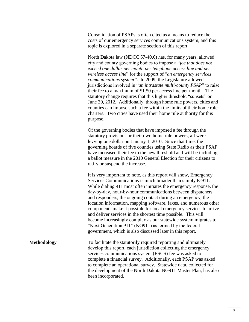Consolidation of PSAPs is often cited as a means to reduce the costs of our emergency services communications system, and this topic is explored in a separate section of this report.

North Dakota law (NDCC 57-40.6) has, for many years, allowed city and county governing bodies to impose a "*fee that does not exceed one dollar per month per telephone access line and per wireless access line*" for the support of "*an emergency services communications system"*. In 2009, the Legislature allowed jurisdictions involved in "*an intrastate multi-county PSAP*" to raise their fee to a maximum of \$1.50 per access line per month. The statutory change requires that this higher threshold "sunsets" on June 30, 2012. Additionally, through home rule powers, cities and counties can impose such a fee within the limits of their home rule charters. Two cities have used their home rule authority for this purpose.

Of the governing bodies that have imposed a fee through the statutory provisions or their own home rule powers, all were levying one dollar on January 1, 2010. Since that time, the governing boards of five counties using State Radio as their PSAP have increased their fee to the new threshold and will be including a ballot measure in the 2010 General Election for their citizens to ratify or suspend the increase.

It is very important to note, as this report will show, Emergency Services Communications is much broader than simply E-911. While dialing 911 most often initiates the emergency response, the day-by-day, hour-by-hour communications between dispatchers and responders, the ongoing contact during an emergency, the location information, mapping software, faxes, and numerous other components make it possible for local emergency services to arrive and deliver services in the shortest time possible. This will become increasingly complex as our statewide system migrates to "Next Generation 911" (NG911) as termed by the federal government, which is also discussed later in this report.

**Methodology** To facilitate the statutorily required reporting and ultimately develop this report, each jurisdiction collecting the emergency services communications system (ESCS) fee was asked to complete a financial survey. Additionally, each PSAP was asked to complete an operational survey. Statewide data, collected for the development of the North Dakota NG911 Master Plan, has also been incorporated.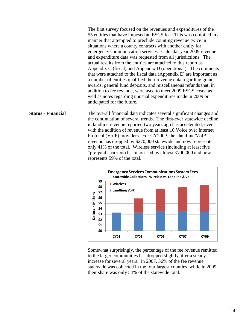The first survey focused on the revenues and expenditures of the 55 entities that have imposed an ESCS fee. This was compiled in a manner that attempted to preclude counting revenue twice in situations where a county contracts with another entity for emergency communication services. Calendar year 2009 revenue and expenditure data was requested from all jurisdictions. The actual results from the entities are attached to this report as Appendix C (fiscal) and Appendix D (operational). The comments that were attached to the fiscal data (Appendix E) are important as a number of entities qualified their revenue data regarding grant awards, general fund deposits, and miscellaneous refunds that, in addition to fee revenue, were used to meet 2009 ESCS costs; as well as notes regarding unusual expenditures made in 2009 or anticipated for the future.

**Status - Financial** The overall financial data indicates several significant changes and the continuation of several trends. The first-ever statewide decline in landline revenue reported two years ago has accelerated, even with the addition of revenue from at least 16 Voice over Internet Protocol (VoIP) providers. For CY2009, the "landline/VoIP" revenue has dropped by \$270,000 statewide and now represents only 41% of the total. Wireless service (including at least five "pre-paid" carriers) has increased by almost \$700,000 and now represents 59% of the total.



Somewhat surprisingly, the percentage of the fee revenue remitted to the larger communities has dropped slightly after a steady increase for several years. In 2007, 56% of the fee revenue statewide was collected in the four largest counties, while in 2009 their share was only 54% of the statewide total.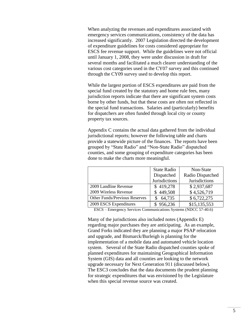When analyzing the revenues and expenditures associated with emergency services communications, consistency of the data has increased significantly. 2007 Legislation directed the development of expenditure guidelines for costs considered appropriate for ESCS fee revenue support. While the guidelines were not official until January 1, 2008, they were under discussion in draft for several months and facilitated a much clearer understanding of the various cost categories used in the CY07 survey and this continued through the CY09 survey used to develop this report.

While the largest portion of ESCS expenditures are paid from the special fund created by the statutory and home rule fees, many jurisdiction reports indicate that there are significant system costs borne by other funds, but that these costs are often not reflected in the special fund transactions. Salaries and (particularly) benefits for dispatchers are often funded through local city or county property tax sources.

Appendix C contains the actual data gathered from the individual jurisdictional reports; however the following table and charts provide a statewide picture of the finances. The reports have been grouped by "State Radio" and "Non-State Radio" dispatched counties, and some grouping of expenditure categories has been done to make the charts more meaningful.

|                               | <b>State Radio</b> | Non-State            |
|-------------------------------|--------------------|----------------------|
|                               | Dispatched         | Radio Dispatched     |
|                               | Jurisdictions      | <b>Jurisdictions</b> |
| 2009 Landline Revenue         | \$419,278          | \$2,937,687          |
| 2009 Wireless Revenue         | \$449,508          | \$4,526,719          |
| Other Funds/Previous Reserves | 64,735             | \$6,722,275          |
| 2009 ESCS Expenditures        | \$956,236          | \$15,135,553         |

ESCS – Emergency Services Communications Systems (NDCC 57-40.6)

Many of the jurisdictions also included notes (Appendix E) regarding major purchases they are anticipating. As an example, Grand Forks indicated they are planning a major PSAP relocation and upgrade, and Bismarck/Burleigh is planning for the implementation of a mobile data and automated vehicle location system. Several of the State Radio dispatched counties spoke of planned expenditures for maintaining Geographical Information System (GIS) data and all counties are looking to the network upgrade necessary for Next Generation 911 (discussed below). The ESC3 concludes that the data documents the prudent planning for strategic expenditures that was envisioned by the Legislature when this special revenue source was created.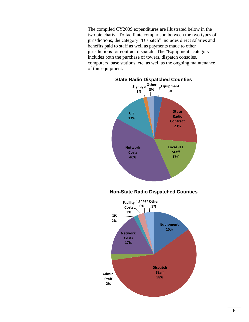The compiled CY2009 expenditures are illustrated below in the two pie charts. To facilitate comparison between the two types of jurisdictions, the category "Dispatch" includes direct salaries and benefits paid to staff as well as payments made to other jurisdictions for contract dispatch. The "Equipment" category includes both the purchase of towers, dispatch consoles, computers, base stations, etc. as well as the ongoing maintenance of this equipment.

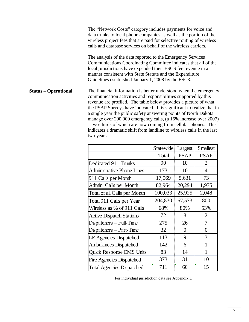**Status – Operational** The "Network Costs" category includes payments for voice and data trunks to local phone companies as well as the portion of the wireless project fees that are paid for selective routing of wireless calls and database services on behalf of the wireless carriers. The analysis of the data reported to the Emergency Services Communications Coordinating Committee indicates that all of the local jurisdictions have expended their ESCS fee revenue in a manner consistent with State Statute and the Expenditure Guidelines established January 1, 2008 by the ESC3. The financial information is better understood when the emergency communication activities and responsibilities supported by this revenue are profiled. The table below provides a picture of what the PSAP Surveys have indicated. It is significant to realize that in a single year the public safety answering points of North Dakota manage over 200,000 emergency calls, (a 16% increase over 2007) – two-thirds of which are now coming from cellular phones. This indicates a dramatic shift from landline to wireless calls in the last two years.

|                                   | Statewide | Largest        | <b>Smallest</b> |
|-----------------------------------|-----------|----------------|-----------------|
|                                   | Total     | <b>PSAP</b>    | <b>PSAP</b>     |
| Dedicated 911 Trunks              | 90        | 10             | $\overline{2}$  |
| <b>Administrative Phone Lines</b> | 173       | 10             | 4               |
| 911 Calls per Month               | 17,069    | 5,631          | 73              |
| Admin. Calls per Month            | 82,964    | 20,294         | 1,975           |
| Total of all Calls per Month      | 100,033   | 25,925         | 2,048           |
| Total 911 Calls per Year          | 204,830   | 67,573         | 800             |
| Wireless as % of 911 Calls        | 68%       | 80%            | 53%             |
| <b>Active Dispatch Stations</b>   | 72        | 8              | $\overline{2}$  |
| Dispatchers - Full-Time           | 275       | 26             | 7               |
| Dispatchers - Part-Time           | 32        | $\overline{0}$ | 0               |
| <b>LE Agencies Dispatched</b>     | 113       | 9              | 3               |
| <b>Ambulances Dispatched</b>      | 142       | 6              | 1               |
| Quick Response EMS Units          | 83        | 14             | 1               |
| <b>Fire Agencies Dispatched</b>   | 373       | <u>31</u>      | 10              |
| <b>Total Agencies Dispatched</b>  | 711       | 60             | 15              |

For individual jurisdiction data see Appendix D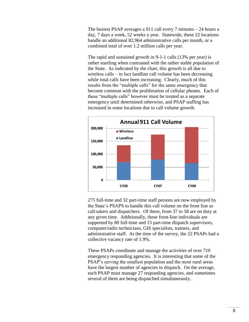The busiest PSAP averages a 911 call every 7 minutes – 24 hours a day, 7 days a week, 52 weeks a year. Statewide, these 22 locations handle an additional 82,964 administrative calls per month, or a combined total of over 1.2 million calls per year.

The rapid and sustained growth in 9-1-1 calls (13% per year) is rather startling when contrasted with the rather stable population of the State. As indicated by the chart, this growth is all due to wireless calls – in fact landline call volume has been decreasing while total calls have been increasing. Clearly, much of this results from the "multiple calls" for the same emergency that become common with the proliferation of cellular phones. Each of these "multiple calls" however must be treated as a separate emergency until determined otherwise, and PSAP staffing has increased in some locations due to call volume growth.



275 full-time and 32 part-time staff persons are now employed by the State's PSAPS to handle this call volume on the front line as call-takers and dispatchers. Of these, from 37 to 58 are on duty at any given time. Additionally, these front-line individuals are supported by 80 full-time and 15 part-time dispatch supervisors, computer/radio technicians, GIS specialists, trainers, and administrative staff. At the time of the survey, the 22 PSAPs had a collective vacancy rate of 1.9%.

These PSAPs coordinate and manage the activities of over 710 emergency responding agencies. It is interesting that some of the PSAP's serving the smallest population and the most rural areas have the largest number of agencies to dispatch. On the average, each PSAP must manage 27 responding agencies, and sometimes several of them are being dispatched simultaneously.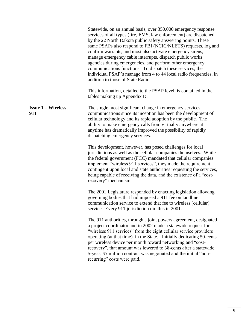|                                  | Statewide, on an annual basis, over 350,000 emergency response<br>services of all types (fire, EMS, law enforcement) are dispatched<br>by the 22 North Dakota public safety answering points. These<br>same PSAPs also respond to FBI (NCIC/NLETS) requests, log and<br>confirm warrants, and most also activate emergency sirens,<br>manage emergency cable interrupts, dispatch public works<br>agencies during emergencies, and perform other emergency<br>communications functions. To dispatch these services, the<br>individual PSAP's manage from 4 to 44 local radio frequencies, in<br>addition to those of State Radio.<br>This information, detailed to the PSAP level, is contained in the |
|----------------------------------|--------------------------------------------------------------------------------------------------------------------------------------------------------------------------------------------------------------------------------------------------------------------------------------------------------------------------------------------------------------------------------------------------------------------------------------------------------------------------------------------------------------------------------------------------------------------------------------------------------------------------------------------------------------------------------------------------------|
|                                  | tables making up Appendix D.                                                                                                                                                                                                                                                                                                                                                                                                                                                                                                                                                                                                                                                                           |
| <b>Issue 1 – Wireless</b><br>911 | The single most significant change in emergency services<br>communications since its inception has been the development of<br>cellular technology and its rapid adoption by the public. The<br>ability to make emergency calls from virtually anywhere at<br>anytime has dramatically improved the possibility of rapidly<br>dispatching emergency services.                                                                                                                                                                                                                                                                                                                                           |
|                                  | This development, however, has posed challenges for local<br>jurisdictions as well as the cellular companies themselves. While<br>the federal government (FCC) mandated that cellular companies<br>implement "wireless 911 services", they made the requirement<br>contingent upon local and state authorities requesting the services,<br>being capable of receiving the data, and the existence of a "cost-<br>recovery" mechanism.                                                                                                                                                                                                                                                                  |
|                                  | The 2001 Legislature responded by enacting legislation allowing<br>governing bodies that had imposed a 911 fee on landline<br>communication service to extend that fee to wireless (cellular)<br>service. Every 911 jurisdiction did this in 2001.                                                                                                                                                                                                                                                                                                                                                                                                                                                     |
|                                  | The 911 authorities, through a joint powers agreement, designated<br>a project coordinator and in 2002 made a statewide request for<br>"wireless 911 services" from the eight cellular service providers<br>operating (at that time) in the State. Initially dedicating 50-cents<br>per wireless device per month toward networking and "cost-<br>recovery", that amount was lowered to 38-cents after a statewide,<br>5-year, \$7 million contract was negotiated and the initial "non-<br>recurring" costs were paid.                                                                                                                                                                                |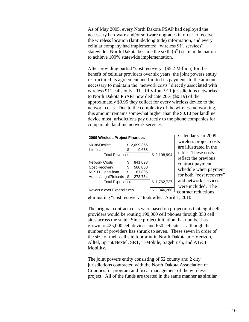As of May 2005, every North Dakota PSAP had deployed the necessary hardware and/or software upgrades in order to receive the wireless location (latitude/longitude) information, and every cellular company had implemented "wireless 911 services" statewide. North Dakota became the sixth  $(6<sup>th</sup>)$  state in the nation to achieve 100% statewide implementation.

After providing partial "cost recovery" (\$5.2 Million) for the benefit of cellular providers over six years, the joint powers entity restructured its agreement and limited its payments to the amount necessary to maintain the "network costs" directly associated with wireless 911 calls only. The fifty-four 911 jurisdictions networked to North Dakota PSAPs now dedicate 20% (\$0.19) of the approximately \$0.95 they collect for every wireless device to the network costs. Due to the complexity of the wireless networking, this amount remains somewhat higher than the \$0.10 per landline device most jurisdictions pay directly to the phone companies for comparable landline network services.

| <b>2009 Wireless Project Finances</b> |                |             |  |             |  |
|---------------------------------------|----------------|-------------|--|-------------|--|
| \$0.38/Device                         |                | \$2,099,356 |  |             |  |
| <b>Interest</b>                       |                | 9,638       |  |             |  |
| <b>Total Revenues</b>                 |                |             |  | \$2,108,994 |  |
| <b>Network Costs</b>                  | S              | 841,098     |  |             |  |
| <b>Cost Recovery</b>                  | S              | 580,000     |  |             |  |
| NG911 Consultant                      | S              | 67,895      |  |             |  |
| Admin/Legal/Refunds                   | $\mathfrak{S}$ | 273,734     |  |             |  |
| <b>Total Expenditures</b>             |                |             |  | \$1,762,727 |  |
| Revenue over Expenditures             |                |             |  | 346,266     |  |

Calendar year 2009 wireless project costs are illustrated in the table. These costs reflect the previous contract payment schedule when payment for both "cost recovery" and network services were included. The contract reductions

eliminating "cost recovery" took effect April 1, 2010.

The original contract costs were based on projections that eight cell providers would be routing 190,000 cell phones through 350 cell sites across the state. Since project initiation that number has grown to 425,000 cell devices and 650 cell sites – although the number of providers has shrunk to seven. These seven in order of the size of their cell site footprint in North Dakota are: Verizon, Alltel, Sprint/Nextel, SRT, T-Mobile, Sagebrush, and AT&T Mobility.

The joint powers entity consisting of 52 county and 2 city jurisdictions contracted with the North Dakota Association of Counties for program and fiscal management of the wireless project. All of the funds are treated in the same manner as similar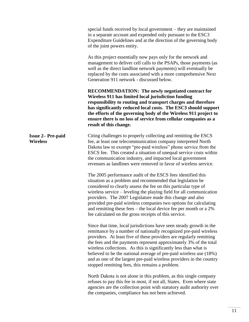|                                             | special funds received by local government – they are maintained<br>in a separate account and expended only pursuant to the ESC3<br>Expenditure Guidelines and at the direction of the governing body<br>of the joint powers entity.                                                                                                                                                                                                                                                                                                                      |
|---------------------------------------------|-----------------------------------------------------------------------------------------------------------------------------------------------------------------------------------------------------------------------------------------------------------------------------------------------------------------------------------------------------------------------------------------------------------------------------------------------------------------------------------------------------------------------------------------------------------|
|                                             | As this project essentially now pays only for the network and<br>management to deliver cell calls to the PSAPs, those payments (as<br>well as the direct landline network payments) will eventually be<br>replaced by the costs associated with a more comprehensive Next<br>Generation 911 network - discussed below.                                                                                                                                                                                                                                    |
|                                             | <b>RECOMMENDATION:</b> The newly negotiated contract for<br>Wireless 911 has limited local jurisdiction funding<br>responsibility to routing and transport charges and therefore<br>has significantly reduced local costs. The ESC3 should support<br>the efforts of the governing body of the Wireless 911 project to<br>ensure there is no loss of service from cellular companies as a<br>result of this change.                                                                                                                                       |
| <b>Issue 2– Pre-paid</b><br><b>Wireless</b> | Citing challenges to properly collecting and remitting the ESCS<br>fee, at least one telecommunication company interpreted North<br>Dakota law to exempt "pre-paid wireless" phone service from the<br>ESCS fee. This created a situation of unequal service costs within<br>the communication industry, and impacted local government<br>revenues as landlines were removed in favor of wireless service.                                                                                                                                                |
|                                             | The 2005 performance audit of the ESCS fees identified this<br>situation as a problem and recommended that legislation be<br>considered to clearly assess the fee on this particular type of<br>wireless service – leveling the playing field for all communication<br>providers. The 2007 Legislature made this change and also<br>provided pre-paid wireless companies two options for calculating<br>and remitting these fees – the local device fee per month or a $2\%$<br>fee calculated on the gross receipts of this service.                     |
|                                             | Since that time, local jurisdictions have seen steady growth in the<br>remittance by a number of nationally recognized pre-paid wireless<br>providers. At least five of these providers are regularly remitting<br>the fees and the payments represent approximately 3% of the total<br>wireless collections. As this is significantly less than what is<br>believed to be the national average of pre-paid wireless use (18%)<br>and as one of the largest pre-paid wireless providers in the country<br>stopped remitting fees, this remains a problem. |
|                                             | North Dakota is not alone in this problem, as this single company<br>refuses to pay this fee in most, if not all, States. Even where state<br>agencies are the collection point with statutory audit authority over<br>the companies, compliance has not been achieved.                                                                                                                                                                                                                                                                                   |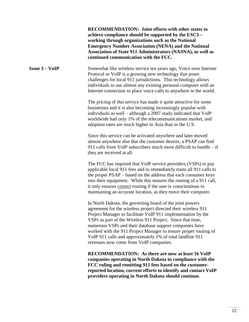**Issue 3 – VoIP RECOMMENDATION: Joint efforts with other states to achieve compliance should be supported by the ESC3 – working through organizations such as the National Emergency Number Association (NENA) and the National Association of State 911 Administrators (NASNA), as well as continued communication with the FCC.** Somewhat like wireless service ten years ago, Voice over Internet Protocol or VoIP is a growing new technology that poses challenges for local 911 jurisdictions. This technology allows individuals to use almost any existing personal computer with an Internet connection to place voice calls to anywhere in the world. The pricing of this service has made it quite attractive for some businesses and it is also becoming increasingly popular with individuals as well – although a 2007 study indicated that VoIP worldwide had only 1% of the telecommunications market, and adoption rates are much higher in Asia than in the U.S. Since this service can be activated anywhere and later moved almost anywhere else that the customer desires, a PSAP can find 911 calls from VoIP subscribers much more difficult to handle – if they are received at all. The FCC has required that VoIP service providers (VSPs) to pay applicable local 911 fees and to immediately route all 911 calls to the proper PSAP – based on the address that each consumer keys into their equipment. While this ensures the routing of a 911 call, it only ensures correct routing if the user is conscientious in maintaining an accurate location, as they move their computer. In North Dakota, the governing board of the joint powers agreement for the wireless project directed their wireless 911 Project Manager to facilitate VoIP 911 implementation by the VSPs as part of the Wireless 911 Project. Since that time, numerous VSPs and their database support companies have worked with the 911 Project Manager to ensure proper routing of VoIP 911 calls and approximately 1% of total landline 911 revenues now come from VoIP companies. **RECOMMENDATION: As there are now at least 16 VoIP companies operating in North Dakota in compliance with the FCC ruling and remitting 911 fees based on the customerreported location, current efforts to identify and contact VoIP providers operating in North Dakota should continue.**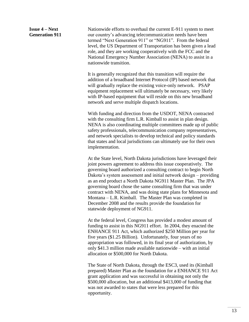**Issue 4 – Next Generation 911** Nationwide efforts to overhaul the current E-911 system to meet our country's advancing telecommunication needs have been termed "Next Generation 911" or "NG911". From the federal level, the US Department of Transportation has been given a lead role, and they are working cooperatively with the FCC and the National Emergency Number Association (NENA) to assist in a nationwide transition.

It is generally recognized that this transition will require the addition of a broadband Internet Protocol (IP) based network that will gradually replace the existing voice-only network. PSAP equipment replacement will ultimately be necessary, very likely with IP-based equipment that will reside on this new broadband network and serve multiple dispatch locations.

With funding and direction from the USDOT, NENA contracted with the consulting firm L.R. Kimball to assist in plan design. NENA is also coordinating multiple committees made up of public safety professionals, telecommunication company representatives, and network specialists to develop technical and policy standards that states and local jurisdictions can ultimately use for their own implementation.

At the State level, North Dakota jurisdictions have leveraged their joint powers agreement to address this issue cooperatively. The governing board authorized a consulting contract to begin North Dakota's system assessment and initial network design – providing as an end product a North Dakota NG911 Master Plan. The JPA governing board chose the same consulting firm that was under contract with NENA, and was doing state plans for Minnesota and Montana – L.R. Kimball. The Master Plan was completed in December 2008 and the results provide the foundation for statewide deployment of NG911.

At the federal level, Congress has provided a modest amount of funding to assist in this NG911 effort. In 2004, they enacted the ENHANCE 911 Act, which authorized \$250 Million per year for five years (\$1.25 Billion). Unfortunately, four years of no appropriation was followed, in its final year of authorization, by only \$41.3 million made available nationwide – with an initial allocation or \$500,000 for North Dakota.

The State of North Dakota, through the ESC3, used its (Kimball prepared) Master Plan as the foundation for a ENHANCE 911 Act grant application and was successful in obtaining not only the \$500,000 allocation, but an additional \$413,000 of funding that was not awarded to states that were less prepared for this opportunity.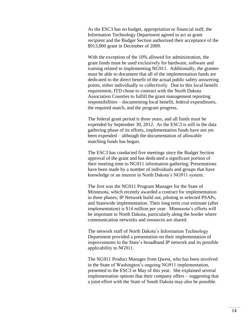As the ESC3 has no budget, appropriation or financial staff, the Information Technology Department agreed to act as grant recipient and the Budget Section authorized their acceptance of the \$913,000 grant in December of 2009.

With the exception of the 10% allowed for administration, the grant funds must be used exclusively for hardware, software and training related to implementing NG911. Additionally, the grantee must be able to document that all of the implementation funds are dedicated to the direct benefit of the actual public safety answering points, either individually or collectively. Due to this local benefit requirement, ITD chose to contract with the North Dakota Association Counties to fulfill the grant management reporting responsibilities – documenting local benefit, federal expenditures, the required match, and the program progress.

The federal grant period is three years, and all funds must be expended by September 30, 2012. As the ESC3 is still in the data gathering phase of its efforts, implementation funds have not yet been expended – although the documentation of allowable matching funds has begun.

The ESC3 has conducted five meetings since the Budget Section approval of the grant and has dedicated a significant portion of their meeting time to NG911 information gathering. Presentations have been made by a number of individuals and groups that have knowledge or an interest in North Dakota's NG911 system.

The first was the NG911 Program Manager for the State of Minnesota, which recently awarded a contract for implementation in three phases; IP Network build out, piloting in selected PSAPs, and Statewide implementation. Their long term cost estimate (after implementation) is \$14 million per year. Minnesota's efforts will be important to North Dakota, particularly along the border where communication networks and resources are shared.

The network staff of North Dakota's Information Technology Department provided a presentation on their implementation of improvements to the State's broadband IP network and its possible applicability to NG911.

The NG911 Product Manager from Qwest, who has been involved in the State of Washington's ongoing NG911 implementation, presented to the ESC3 in May of this year. She explained several implementation options that their company offers – suggesting that a joint effort with the State of South Dakota may also be possible.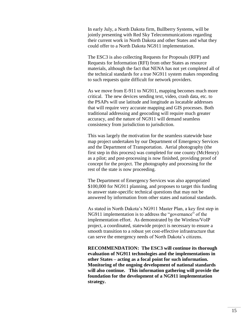In early July, a North Dakota firm, Bullberry Systems, will be jointly presenting with Red Sky Telecommunications regarding their current work in North Dakota and other States and what they could offer to a North Dakota NG911 implementation.

The ESC3 is also collecting Requests for Proposals (RFP) and Requests for Information (RFI) from other States as resource materials, although the fact that NENA has not yet completed all of the technical standards for a true NG911 system makes responding to such requests quite difficult for network providers.

As we move from E-911 to NG911, mapping becomes much more critical. The new devices sending text, video, crash data, etc. to the PSAPs will use latitude and longitude as locatable addresses that will require very accurate mapping and GIS processes. Both traditional addressing and geocoding will require much greater accuracy, and the nature of NG911 will demand seamless consistency from jurisdiction to jurisdiction.

This was largely the motivation for the seamless statewide base map project undertaken by our Department of Emergency Services and the Department of Transportation. Aerial photography (the first step in this process) was completed for one county (McHenry) as a pilot; and post-processing is now finished, providing proof of concept for the project. The photography and processing for the rest of the state is now proceeding.

The Department of Emergency Services was also appropriated \$100,000 for NG911 planning, and proposes to target this funding to answer state-specific technical questions that may not be answered by information from other states and national standards.

As stated in North Dakota's NG911 Master Plan, a key first step in NG911 implementation is to address the "governance" of the implementation effort. As demonstrated by the Wireless/VoIP project, a coordinated, statewide project is necessary to ensure a smooth transition to a robust yet cost-effective infrastructure that can serve the emergency needs of North Dakota's citizens.

**RECOMMENDATION: The ESC3 will continue its thorough evaluation of NG911 technologies and the implementations in other States – acting as a focal point for such information. Monitoring of the ongoing development of national standards will also continue. This information gathering will provide the foundation for the development of a NG911 implementation strategy.**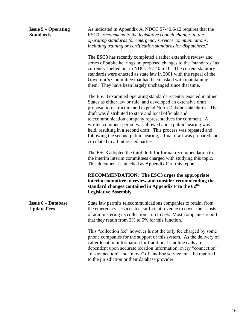| <b>Issue <math>5 -</math> Operating</b><br><b>Standards</b> | As indicated in Appendix A, NDCC 57-40.6-12 requires that the<br>ESC3 "recommend to the legislative council changes to the<br>operating standards for emergency services communications,<br>including training or certification standards for dispatchers."                                                                                                                                                                                                                                                                                                                    |
|-------------------------------------------------------------|--------------------------------------------------------------------------------------------------------------------------------------------------------------------------------------------------------------------------------------------------------------------------------------------------------------------------------------------------------------------------------------------------------------------------------------------------------------------------------------------------------------------------------------------------------------------------------|
|                                                             | The ESC3 has recently completed a rather extensive review and<br>series of public hearings on proposed changes to the "standards" as<br>currently spelled out in NDCC 57-40.6-10. The current statutory<br>standards were enacted as state law in 2001 with the repeal of the<br>Governor's Committee that had been tasked with maintaining<br>them. They have been largely unchanged since that time.                                                                                                                                                                         |
|                                                             | The ESC3 examined operating standards recently enacted in other<br>States as either law or rule, and developed an extensive draft<br>proposal to restructure and expand North Dakota's standards. The<br>draft was distributed to state and local officials and<br>telecommunication company representatives for comment. A<br>written comment period was allowed and a public hearing was<br>held, resulting in a second draft. This process was repeated and<br>following the second public hearing, a final draft was prepared and<br>circulated to all interested parties. |
|                                                             | The ESC3 adopted the third draft for formal recommendation to<br>the interim interim committees charged with studying this topic.<br>This document is attached as Appendix F of this report.                                                                                                                                                                                                                                                                                                                                                                                   |
|                                                             | <b>RECOMMENDATION: The ESC3 urges the appropriate</b><br>interim committee to review and consider recommending the<br>standard changes contained in Appendix F to the 62 <sup>nd</sup><br><b>Legislative Assembly.</b>                                                                                                                                                                                                                                                                                                                                                         |
| <b>Issue 6 – Database</b><br><b>Update Fees</b>             | State law permits telecommunications companies to retain, from<br>the emergency services fee, sufficient revenue to cover their costs<br>of administering its collection $-$ up to 5%. Most companies report<br>that they retain from 3% to 5% for this function.                                                                                                                                                                                                                                                                                                              |
|                                                             | This "collection fee" however is not the only fee charged by some<br>phone companies for the support of this system. As the delivery of<br>caller location information for traditional landline calls are<br>dependent upon accurate location information, every "connection"<br>"disconnection" and "move" of landline service must be reported<br>to the jurisdiction or their database provider.                                                                                                                                                                            |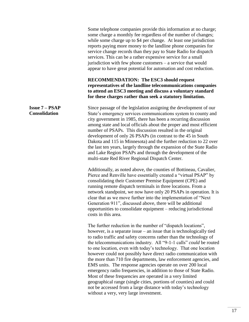Some telephone companies provide this information at no charge; some charge a monthly fee regardless of the number of changes; while some charge up to \$4 per change. At least one jurisdiction reports paying more money to the landline phone companies for service change records than they pay to State Radio for dispatch services. This can be a rather expensive service for a small jurisdiction with few phone customers – a service that would appear to have great potential for automation and cost reduction.

## **RECOMMENDATION: The ESC3 should request representatives of the landline telecommunications companies to attend an ESC3 meeting and discuss a voluntary standard for these charges rather than seek a statutory limitation.**

Since passage of the legislation assigning the development of our State's emergency services communications system to county and city government in 1985, there has been a recurring discussion among state and local officials about the proper and most efficient number of PSAPs. This discussion resulted in the original development of only 26 PSAPs (in contrast to the 45 in South Dakota and 115 in Minnesota) and the further reduction to 22 over the last ten years, largely through the expansion of the State Radio and Lake Region PSAPs and through the development of the multi-state Red River Regional Dispatch Center.

Additionally, as noted above, the counties of Bottineau, Cavalier, Pierce and Renville have essentially created a "virtual PSAP" by consolidating their Customer Premise Equipment (CPE) and running remote dispatch terminals in three locations. From a network standpoint, we now have only 20 PSAPs in operation. It is clear that as we move further into the implementation of "Next Generation 911", discussed above, there will be additional opportunities to consolidate equipment – reducing jurisdictional costs in this area.

The further reduction in the number of "dispatch locations", however, is a separate issue – an issue that is technologically tied to radio traffic and safety concerns rather than the technology of the telecommunications industry. All "9-1-1 calls" *could* be routed to one location, even with today's technology. That one location however could not possibly have direct radio communication with the more than 710 fire departments, law enforcement agencies, and EMS units. The response agencies operate on over 200 local emergency radio frequencies, in addition to those of State Radio. Most of these frequencies are operated in a very limited geographical range (single cities, portions of counties) and could not be accessed from a large distance with today's technology without a very, very large investment.

#### **Issue 7 – PSAP Consolidation**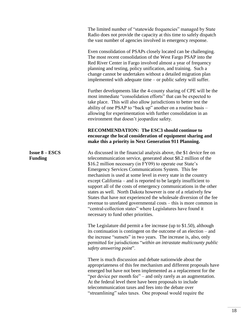|                                         | The limited number of "statewide frequencies" managed by State<br>Radio does not provide the capacity at this time to safely dispatch<br>the vast number of agencies involved in emergency response.                                                                                                                                                                                                                                                                                                                                                                                                                                                                                                                                                                                      |
|-----------------------------------------|-------------------------------------------------------------------------------------------------------------------------------------------------------------------------------------------------------------------------------------------------------------------------------------------------------------------------------------------------------------------------------------------------------------------------------------------------------------------------------------------------------------------------------------------------------------------------------------------------------------------------------------------------------------------------------------------------------------------------------------------------------------------------------------------|
|                                         | Even consolidation of PSAPs closely located can be challenging.<br>The most recent consolidation of the West Fargo PSAP into the<br>Red River Center in Fargo involved almost a year of frequency<br>planning and testing, policy unification, and training. Such a<br>change cannot be undertaken without a detailed migration plan<br>implemented with adequate time - or public safety will suffer.                                                                                                                                                                                                                                                                                                                                                                                    |
|                                         | Further developments like the 4-county sharing of CPE will be the<br>most immediate "consolidation efforts" that can be expected to<br>take place. This will also allow jurisdictions to better test the<br>ability of one PSAP to "back up" another on a routine basis –<br>allowing for experimentation with further consolidation in an<br>environment that doesn't jeopardize safety.                                                                                                                                                                                                                                                                                                                                                                                                 |
|                                         | <b>RECOMMENDATION: The ESC3 should continue to</b><br>encourage the local consideration of equipment sharing and<br>make this a priority in Next Generation 911 Planning.                                                                                                                                                                                                                                                                                                                                                                                                                                                                                                                                                                                                                 |
| <b>Issue 8 – ESCS</b><br><b>Funding</b> | As discussed in the financial analysis above, the \$1 device fee on<br>telecommunication service, generated about \$8.2 million of the<br>\$16.2 million necessary (in FY09) to operate our State's<br>Emergency Services Communications System. This fee<br>mechanism is used at some level in every state in the country<br>except California – and is reported to be largely insufficient to<br>support all of the costs of emergency communications in the other<br>states as well. North Dakota however is one of a relatively few<br>States that have not experienced the wholesale diversion of the fee<br>revenue to unrelated governmental costs – this is more common in<br>'central-collection states" where Legislatures have found it<br>necessary to fund other priorities. |
|                                         | The Legislature did permit a fee increase (up to \$1.50), although<br>its continuation is contingent on the outcome of an election $-$ and<br>the increase "sunsets" in two years. The increase is, also, only<br>permitted for jurisdictions "within an intrastate multicounty public<br>safety answering point".                                                                                                                                                                                                                                                                                                                                                                                                                                                                        |
|                                         | There is much discussion and debate nationwide about the<br>appropriateness of this fee mechanism and different proposals have<br>emerged but have not been implemented as a replacement for the<br>"per device per month fee" – and only rarely as an augmentation.<br>At the federal level there have been proposals to include<br>telecommunication taxes and fees into the debate over<br>"streamlining" sales taxes. One proposal would require the                                                                                                                                                                                                                                                                                                                                  |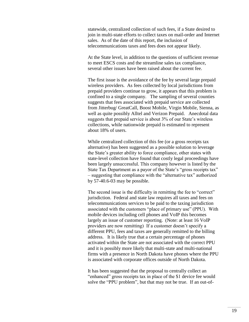statewide, centralized collection of such fees, if a State desired to join in multi-state efforts to collect taxes on mail-order and Internet sales. As of the date of this report, the inclusion of telecommunications taxes and fees does not appear likely.

At the State level, in addition to the questions of sufficient revenue to meet ESCS costs and the streamline sales tax compliance, several other issues have been raised about the current fee.

The first issue is the avoidance of the fee by several large prepaid wireless providers. As fees collected by local jurisdictions from prepaid providers continue to grow, it appears that this problem is confined to a single company. The sampling of several counties suggests that fees associated with prepaid service are collected from Jitterbug/ GreatCall, Boost Mobile, Virgin Mobile, Sienna, as well as quite possibly Alltel and Verizon Prepaid. Anecdotal data suggests that prepaid service is about 3% of our State's wireless collections, while nationwide prepaid is estimated to represent about 18% of users.

While centralized collection of this fee (or a gross receipts tax alternative) has been suggested as a possible solution to leverage the State's greater ability to force compliance, other states with state-level collection have found that costly legal proceedings have been largely unsuccessful. This company however is listed by the State Tax Department as a payor of the State's "gross receipts tax" – suggesting that compliance with the "alternative tax" authorized by 57-40.6-03 may be possible.

The second issue is the difficulty in remitting the fee to "correct" jurisdiction. Federal and state law requires all taxes and fees on telecommunications services to be paid to the taxing jurisdiction associated with the customers "place of primary use" (PPU). With mobile devices including cell phones and VoIP this becomes largely an issue of customer reporting. (Note: at least 16 VoIP providers are now remitting) If a customer doesn't specify a different PPU, fees and taxes are generally remitted to the billing address. It is likely true that a certain percentage of phones activated within the State are not associated with the correct PPU and it is possibly more likely that multi-state and multi-national firms with a presence in North Dakota have phones where the PPU is associated with corporate offices outside of North Dakota.

It has been suggested that the proposal to centrally collect an "enhanced" gross receipts tax in place of the \$1 device fee would solve the "PPU problem", but that may not be true. If an out-of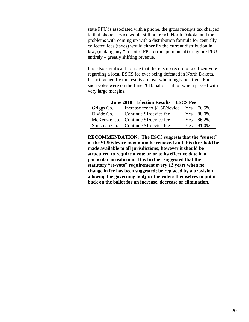state PPU is associated with a phone, the gross receipts tax charged to that phone service would still not reach North Dakota; and the problems with coming up with a distribution formula for centrally collected fees (taxes) would either fix the current distribution in law, (making any "in-state" PPU errors permanent) or ignore PPU entirely – greatly shifting revenue.

It is also significant to note that there is no record of a citizen vote regarding a local ESCS fee ever being defeated in North Dakota. In fact, generally the results are overwhelmingly positive. Four such votes were on the June 2010 ballot – all of which passed with very large margins.

| Griggs Co.   | Increase fee to \$1.50/device          | $Yes - 76.5\%$ |  |  |
|--------------|----------------------------------------|----------------|--|--|
| Divide Co.   | Continue \$1/device fee                | $Yes - 88.0\%$ |  |  |
|              | McKenzie Co.   Continue \$1/device fee | $Yes - 86.2\%$ |  |  |
| Stutsman Co. | Continue \$1 device fee                | $Yes - 91.0\%$ |  |  |

**June 2010 – Election Results – ESCS Fee**

**RECOMMENDATION: The ESC3 suggests that the "sunset" of the \$1.50/device maximum be removed and this threshold be made available to all jurisdictions; however it should be structured to require a vote prior to its effective date in a particular jurisdiction. It is further suggested that the statutory "re-vote" requirement every 12 years when no change in fee has been suggested; be replaced by a provision allowing the governing body or the voters themselves to put it back on the ballot for an increase, decrease or elimination.**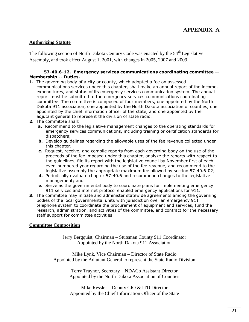## **Authorizing Statute**

The following section of North Dakota Century Code was enacted by the  $54<sup>th</sup>$  Legislative Assembly, and took effect August 1, 2001, with changes in 2005, 2007 and 2009.

#### **57-40.6-12. Emergency services communications coordinating committee -- Membership -- Duties.**

- **1.** The governing body of a city or county, which adopted a fee on assessed communications services under this chapter, shall make an annual report of the income, expenditures, and status of its emergency services communication system. The annual report must be submitted to the emergency services communications coordinating committee. The committee is composed of four members, one appointed by the North Dakota 911 association, one appointed by the North Dakota association of counties, one appointed by the chief information officer of the state, and one appointed by the adjutant general to represent the division of state radio.
- **2.** The committee shall:
	- **a.** Recommend to the legislative management changes to the operating standards for emergency services communications, including training or certification standards for dispatchers;
	- **b.** Develop guidelines regarding the allowable uses of the fee revenue collected under this chapter;
	- **c.** Request, receive, and compile reports from each governing body on the use of the proceeds of the fee imposed under this chapter, analyze the reports with respect to the guidelines, file its report with the legislative council by November first of each even-numbered year regarding the use of the fee revenue, and recommend to the legislative assembly the appropriate maximum fee allowed by section 57-40.6-02;
	- **d.** Periodically evaluate chapter 57-40.6 and recommend changes to the legislative management; and
	- **e.** Serve as the governmental body to coordinate plans for implementing emergency 911 services and internet protocol enabled emergency applications for 911.
- **3.** The committee may initiate and administer statewide agreements among the governing bodies of the local governmental units with jurisdiction over an emergency 911 telephone system to coordinate the procurement of equipment and services, fund the research, administration, and activities of the committee, and contract for the necessary staff support for committee activities.

## **Committee Composition**

Jerry Bergquist, Chairman – Stutsman County 911 Coordinator Appointed by the North Dakota 911 Association

Mike Lynk, Vice Chairman – Director of State Radio Appointed by the Adjutant General to represent the State Radio Division

> Terry Traynor, Secretary – NDACo Assistant Director Appointed by the North Dakota Association of Counties

> Mike Ressler – Deputy CIO & ITD Director Appointed by the Chief Information Officer of the State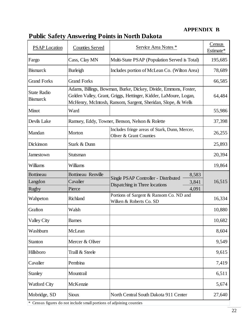## **APPENDIX B**

| <b>PSAP</b> Location                        | <b>Counties Served</b>                          | Service Area Notes *                                                                                                                                                                                | Census<br>Estimate* |
|---------------------------------------------|-------------------------------------------------|-----------------------------------------------------------------------------------------------------------------------------------------------------------------------------------------------------|---------------------|
| Fargo                                       | Cass, Clay MN                                   | Multi-State PSAP (Population Served is Total)                                                                                                                                                       | 195,685             |
| <b>Bismarck</b>                             | <b>Burleigh</b>                                 | Includes portion of McLean Co. (Wilton Area)                                                                                                                                                        | 78,689              |
| <b>Grand Forks</b>                          | <b>Grand Forks</b>                              |                                                                                                                                                                                                     | 66,585              |
| <b>State Radio</b><br><b>Bismarck</b>       |                                                 | Adams, Billings, Bowman, Burke, Dickey, Divide, Emmons, Foster,<br>Golden Valley, Grant, Griggs, Hettinger, Kidder, LaMoure, Logan,<br>McHenry, McIntosh, Ransom, Sargent, Sheridan, Slope, & Wells | 64,484              |
| Minot                                       | Ward                                            |                                                                                                                                                                                                     | 55,986              |
| Devils Lake                                 |                                                 | Ramsey, Eddy, Towner, Benson, Nelson & Rolette                                                                                                                                                      | 37,398              |
| Mandan                                      | Morton                                          | Includes fringe areas of Stark, Dunn, Mercer,<br>Oliver & Grant Counties                                                                                                                            | 26,255              |
| Dickinson                                   | Stark & Dunn                                    |                                                                                                                                                                                                     | 25,893              |
| Jamestown                                   | Stutsman                                        |                                                                                                                                                                                                     | 20,394              |
| Williams                                    | Williams                                        |                                                                                                                                                                                                     | 19,864              |
| <b>Bottineau</b><br>Langdon<br><b>Rugby</b> | <b>Bottineau Renville</b><br>Cavalier<br>Pierce | 8,583<br>Single PSAP Controller - Distributed<br>3,841<br>Dispatching in Three locations<br>4,091                                                                                                   | 16,515              |
| Wahpeton                                    | Richland                                        | Portions of Sargent & Ransom Co. ND and<br>Wilken & Roberts Co. SD                                                                                                                                  | 16,334              |
| Grafton                                     | Walsh                                           |                                                                                                                                                                                                     | 10,880              |
| <b>Valley City</b>                          | <b>Barnes</b>                                   |                                                                                                                                                                                                     | 10,682              |
| Washburn                                    | McLean                                          |                                                                                                                                                                                                     | 8,604               |
| <b>Stanton</b>                              | Mercer & Oliver                                 |                                                                                                                                                                                                     | 9,549               |
| Hillsboro                                   | Traill & Steele                                 |                                                                                                                                                                                                     | 9,615               |
| Cavalier                                    | Pembina                                         |                                                                                                                                                                                                     | 7,419               |
| <b>Stanley</b>                              | Mountrail                                       |                                                                                                                                                                                                     | 6,511               |
| <b>Watford City</b>                         | McKenzie                                        |                                                                                                                                                                                                     | 5,674               |
| Mobridge, SD                                | <b>Sioux</b>                                    | North Central South Dakota 911 Center                                                                                                                                                               | 27,640              |

# **Public Safety Answering Points in North Dakota**

\* Census figures do not include small portions of adjoining counties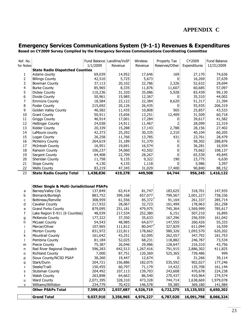# **APPENDIX C**

## **Emergency Services Communications System (9-1-1) Revenues & Expenditures**

**Based on CY2009 Survey Compiled by the Emergency Services Communications Coordinating Committee**

|                | <b>Grand Total</b>                                   | 9,037,910 | 3,356,965                    | 4,976,227 | 6,787,020      | 16,091,798   | 8,066,324    |
|----------------|------------------------------------------------------|-----------|------------------------------|-----------|----------------|--------------|--------------|
|                | <b>Other PSAPs Total</b>                             | 7,599,073 | 2,937,687                    | 4,526,719 | 6,722,275      | 15,135,553   | 6,650,202    |
| $\mathsf{v}$   | Williams/Williston                                   | 234,779   | 70,423                       | 146,578   | 59,385         | 369,180      | 141,984      |
| $\sf u$        | <b>Ward County</b>                                   | 2,071,395 | 328,310                      | 473,328   | 744,714        | 1,638,669    | 1,979,078    |
| t              | <b>Walsh County</b>                                  | 263,898   | 64,663                       | 86,540    | 270,437        | 410,964      | 274,574      |
| S              | Stutsman County                                      | 204,492   | 107,113                      | 139,703   | 243,608        | 470,678      | 224,238      |
| r              | Steele/Traill                                        | 150,455   | 60,797                       | 71,179    | 14,422         | 135,708      | 161,144      |
| q              | Stark/Dunn                                           | 204,721   | 156,886                      | 182,075   | 535,592        | 902,027      | 177,246      |
| р              | Sioux County/NCSD PSAP                               | 38,260    | 19,447                       | 12,674    | 0              | 31,266       | 39,114       |
| o              | <b>Richland County</b>                               | 7,000     | 87,751                       | 120,369   | 525,365        | 739,486      | 999          |
| n              | Red River Regional Dispatch                          | 596,283   | 642,513                      | 1,267,416 | 791,915        | 2,886,302    | 411,825      |
| m              | Pierce County                                        | 75,387    | 26,046                       | 29,986    | 128,647        | 216,310      | 43,756       |
|                | Pembina County                                       | 81,184    | 52,025                       | 68,231    | 118,882        | 246,787      | 73,534       |
| k              | Mountrail County                                     | 161,642   | 43,251                       | 62,095    | 262,557        | 347,792      | 181,753      |
| j              | Morton County                                        | 831,972   | 122,811                      | 178,662   | 580,326        | 1,093,570    | 620,202      |
| İ              | Mercer/Oliver                                        | 107,965   | 111,812                      | 80,047    | 327,829        | 611,094      | 16,559       |
| h              | McLean County                                        | 54,543    | 48,985                       | 64,677    | 147,555        | 260,426      | 55,333       |
| g              | <b>McKenzie County</b>                               | 177,322   | 37,350                       | 35,633    | 167,296        | 256,559      | 161,042      |
| $\sf f$        | Lake Region E-911 (6 Counties)                       | 48,039    | 217,534                      | 252,380   | 6,151          | 507,210      | 16,895       |
| e              | Grand Forks County                                   | 879,095   | 251,181                      | 479,975   | 745,364        | 1,569,999    | 785,617      |
| d              | Cavalier County                                      | 217,932   | 28,067                       | 32,723    | 161,499        | 178,963      | 261,258      |
| c              | Bottineau/Renville                                   | 308,959   | 61,556                       | 85,372    | 91,164         | 261,337      | 285,714      |
| b              | Bismarck/Burleigh                                    | 883,752   | 399,168                      | 657,077   | 799,567        | 2,001,227    | 738,336      |
| a              | Barnes/Valley City                                   | 137,849   | 63,414                       | 81,747    | 183,625        | 318,701      | 147,935      |
|                | <b>Other Single &amp; Multi-Jurisdictional PSAPs</b> |           |                              |           |                |              |              |
|                |                                                      |           |                              |           |                |              |              |
| 23             | <b>State Radio County Total</b>                      | 1,438,836 | 419,278                      | 449,508   | 64,744         | 956,245      | 1,416,122    |
| 22             | <b>Wells County</b>                                  | 83,219    | 47,345                       | 31,029    | 17,400         | 90,840       | 88,152       |
| 21             | Slope County                                         | 4,130     | 4,135                        | 1,118     | 0              | 5,986        | 3,397        |
| 20             | Sheridan County                                      | 11,758    | 9,135                        | 9,322     | 190            | 23,775       | 6,630        |
| 19             | <b>Sargent County</b>                                | 64,408    | 22,709                       | 28,267    | 0              | 65,539       | 49,845       |
| 18             | Ransom County                                        | 106,237   | 34,060                       | 43,502    | 0              | 75,662       | 108,137      |
| 17             | <b>McIntosh County</b>                               | 16,951    | 19,691                       | 16,574    | 0              | 36,281       | 16,934       |
| 16             | <b>McHenry County</b>                                | 264,619   | 31,189                       | 51,370    | 0              | 58,302       | 288,876      |
| 15             | Logan County                                         | 26,258    | 11,766                       | 13,785    | 431            | 23,761       | 28,479       |
| 14             | LaMoure county                                       | 42,373    | 25,292                       | 30,335    | 2,310          | 40,104       | 60,205       |
| 13             | Kidder County                                        | 20,339    | 15,288                       | 17,143    | 2,788          | 28,156       | 27,402       |
| 12             | <b>Hettinger County</b>                              | 24,038    | 14,911                       | 11,467    | 2              | 28,099       | 22,319       |
| 11             | <b>Griggs County</b>                                 | 46,914    | 17,001                       | 17,284    | 0              | 39,617       | 41,582       |
| $10\,$         | <b>Grant County</b>                                  | 50,911    | 15,656                       | 13,251    | 12,409         | 31,509       | 60,718       |
| 9              | Golden Valley County                                 | 46,582    | 11,435                       | 10,808    | 565            | 25,857       | 43,533       |
| $\bf 8$        | <b>Foster County</b>                                 | 215,692   | 20,126                       | 26,435    | 0              | 55,935       | 206,319      |
| $\overline{7}$ | <b>Emmons County</b>                                 | 18,584    | 23,122                       | 22,384    | 8,620          | 51,317       | 21,394       |
| 6              | Divide County                                        | 50,961    | 15,985                       | 12,367    | $\overline{0}$ | 35,310       | 44,002       |
| 5              | Dickey County                                        | 110,236   | 31,320                       | 35,086    | 5,928          | 83,439       | 99,130       |
| 4              | <b>Burke County</b>                                  | 85,965    | 8,335                        | 11,876    | 11,607         | 60,685       | 57,097       |
| 3              | Bowman County                                        | 37,113    | 20,102                       | 22,786    | 2,326          | 52,632       | 29,694       |
| $\mathbf 2$    | <b>Billings County</b>                               | 42,510    | 5,725                        | 5,673     | $\overline{0}$ | 16,269       | 37,639       |
| 1              | Adams county                                         | 69,039    | 14,952                       | 17,646    | 169            | 27,170       | 74,636       |
|                | <b>State Radio Dispatched Counties</b>               |           |                              |           |                |              |              |
| for Notes      |                                                      | 1/1/2009  | Revenue                      | Revenue   | Reserves/Other | Expenditures | 12/31/2009   |
| Ref. No.       |                                                      |           | Fund Balance   Landline/VoIP | Wireless  | Property Tax   | CY2009       | Fund Balance |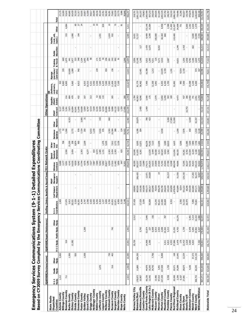| 16,091,798<br>27,170<br>16,269<br>52,632<br>60,685<br>83,439<br>35,310<br>55,935<br>25,857<br>31,509<br>39,617<br>28,156<br>40,104<br>8,302<br>36,281<br>75,662<br>65,539<br>23,775<br>5,986<br>178,963<br>507,210<br>256,559<br>260,426<br>1,093,570<br>347,792<br>216,310<br>739,486<br>31,266<br>135,708<br>470,678<br>1,638,669<br>51,317<br>90,840<br>2,001,227<br>261,337<br>1,569,999<br>611,094<br>246,787<br>2,886,302<br>902,027<br>410,964<br>369,180<br>23,761<br>956,247<br>318,701<br>Total<br>99<br>$\Xi$<br>5 <sup>2</sup><br>877<br>630<br>5,011<br>153,146<br>15,584<br>8,958<br>2,388<br>11,402<br>24,698<br>4,084<br>51<br>121,007<br>751<br>5,000<br>2,182<br>2,630<br>1,579<br><b>Other</b><br>5,905<br>8,499<br>3,349<br>10,999<br>333<br>1,024<br>60,364<br>110,400<br>5,690<br>(rent, util,<br>maint.)<br>1,990<br>194<br>8,431<br>72,727<br>100,000<br>7775<br>388,984<br>1,431<br>$\mathbf{r}$<br>Facility<br>1,418<br>117<br>1,439<br>5,675<br>1,249<br>662<br>8,652<br>Public<br>Education<br>$\mathbf{r}$<br>1,104<br>348<br>1,645<br>294<br>$R = 8$<br>12,094<br>2,436<br>1,075<br>$2,477$<br>333<br>98<br>$\frac{171}{579}$<br>992<br><b>ebO</b><br>2,056<br>15,148<br>1,395<br>4,311<br>4,171<br>4,782<br>3,186<br>2,029<br>1,275<br>51<br>1,196<br>5,922<br>125<br>3,533<br>1,556<br>669<br>2,087<br>10,021<br>Training<br>& Travel<br>13,815<br>(purchase/<br>14,970<br>5,729<br>9,014<br>974<br>347<br>335<br>$10,600$<br>$1,089$<br>942<br>239<br>156<br>1,213<br>2,720<br>64,996<br>454<br>16,388<br>1,241<br>contracts)<br>12,401<br>Signage<br>3,550<br>3,550<br>6,225<br>7,040<br>7,003<br>11,606<br>8,300<br>503<br>9,063<br>8,895<br>10,315<br>9,321<br>10,525<br>122,627<br>7,900<br>3,842<br>8,455<br>1,350<br>7,000<br>23,588<br>3,230<br>6,000<br>5,665<br>8,613<br>6,015<br>7,100<br>81,779<br>36,462<br>12,300<br>52,892<br>983<br>,082<br>(Software,<br>contracts,<br>etc)<br>ű<br>$rac{216}{684}$<br>3,259<br>110<br>5,850<br>3,299<br>306<br>$2,450$<br>741<br>432<br>313<br>$\frac{53}{20}$<br>305<br>40,063<br>4,046<br>3,566<br>175<br>1,979<br>$303$<br>2,951<br>2,259<br>300<br>1,784<br>189<br>4,473<br>437<br>167<br>74,869<br>Supplies<br>(PSAP/<br>Admin)<br>222,209<br>3,265<br>5,261<br>7,873<br>5,859<br>9,519<br>7,839<br>8,235<br>6,534<br>20,806<br>8,400<br>9,888<br>11,640<br>19,608<br>8,747<br>14,132<br>4,622<br>1,359<br>17,400<br>2,400<br>1,969<br>PSAP<br>Contract<br>9,127<br>16,894<br>16,641<br>10,753<br>$\bar{1}$<br>$\mathbf{I}$<br>900<br>12,482<br>29,879<br>$\frac{3,266}{17,965}$<br>6,658<br>3,085<br>$\frac{43}{2}$<br><b>780</b><br>423<br>318<br>8,323<br>ਸ਼<br>42,347<br>Other<br>Network<br>74,761<br>7,724<br>3,416<br>3,393<br>10,584<br>388<br>124<br>7,876<br>650<br>1,918<br>25,499<br>52<br>1,566<br>2,772<br>978<br>6,915<br>1,230<br>476<br>1,200<br>4,128<br>1,772<br>33,022<br>4,286<br>504<br>4,938<br>Database<br>Updates<br>52,718<br>18,010<br>7,758<br>208<br>6,874<br>900<br>1,376<br>2,772<br>8,505<br>74,182<br>7,123<br>7,200<br>$\frac{8}{2}$<br>21,309<br>5,295<br>7,912<br>3,156<br>12,071<br>66,236<br>12,696<br>3,589<br>5,566<br>11,985<br>2,209<br>6,625<br>1,601<br>ទី ទី ដូ<br>Qwest<br>Tandem/<br>Database<br>3,211<br>15,504<br>8,229<br>3,444<br>4,816<br>8,702<br>5,180<br>$4,573$<br>1,485<br>$2,303$<br>$3,454$<br>2,303<br>29,260<br>61,835<br>18,524<br>5,962<br>112,656<br>28,839<br>3,454<br>2,303<br>833<br>$1,\!151$<br>625<br>8,261<br>12,635<br>18,500<br>68,335<br>2,500<br>4,277<br>16,640<br>19,281<br>209,643<br>14,515<br>54,150<br>35,423<br>4,142<br>14,520<br>4,939<br>17,744<br>4,576<br>5,286<br>7,527<br>7,987<br>7,069<br>9,262<br>6,559<br>17,910<br>3,856<br>40,200<br>33,535<br>13,089<br>101,925<br>23,909<br>27,420<br>71,765<br>25,054<br>27,789<br>469,349<br>194,125<br>6,688<br>9,501<br>9,042<br>5,992<br>20,817<br>11,482<br>262,537<br>174,171<br>12,548<br>49,006<br>72,395<br>30,137<br>92,474<br>2,177<br><b>£</b><br>59,432<br>31,921<br>Wireless<br>Contract<br>$\frac{12,971}{24,828}$<br>$\vec{a}$<br>17,265<br>56,272<br>206,420<br>26,214<br>51,550<br>124,150<br>9,847<br>PSAP<br>Managers/<br>Support<br>168,892<br>863,026<br>116,166<br>162,838<br>930,173<br>180,317<br>165,040<br>76,419<br>409,278<br>556,740<br>556,634<br>143,104<br>163,858<br>163,858<br>453,899<br>6,014<br>551,222<br>38,296<br>335,439<br>262,860<br>447,171<br>.027<br>ers<br>Call Takers/<br>Dispatchers<br>$\bar{\phantom{a}}$<br>$\mathbf{r}$<br>$\mathbf{r}$<br>$\frac{5}{25}$<br>1,969<br>$\begin{array}{l} 17,970 \\ 5,813 \\ 20,521 \\ 5,529 \\ 18,740 \\ 4,740 \\ 7,890 \\ 6,925 \\ 6,650 \\ 6,650 \\ \end{array}$<br>4,256<br>6,303<br>$\begin{array}{r} 1,237 \\ 3,694 \\ 5,700 \\ 10,953 \\ 22,871 \\ 4,950 \end{array}$<br>162,521<br>13,243<br>$\begin{array}{r} 40,221 \\ 12,000 \\ 20,004 \end{array}$<br>31,533<br>26,475<br>321<br>3,150<br>7,148<br>57,428<br>17,529<br>3,036<br>55,009<br>4,553<br>7,896<br>2,592<br>70,801<br>9-1-1<br>Coordinators<br>2,512<br>10,310<br>7,846<br>16,276<br>7,214<br>1,880<br>156<br>787<br>5,491<br>52,47<br>a<br>Bang<br>Bang<br>9-1-1 Equip. Radio Equip.<br>1,942<br>6,915<br>2,925<br>24,365<br>34,965<br>742<br>6,008<br>2,698<br>5,213<br>4,763<br>5,478<br>5,842<br>79,484<br>1,200<br>5,743<br>52,874<br>237<br>15,292<br>1,739<br>4,427<br>13,901<br>57,886<br>3,478<br>12,410<br>1,618<br>519<br>4,815<br>4,553<br>179<br>3,000<br>13,382<br>20,759<br>14,906<br>2,590<br>4,833<br>4,411<br>7,392<br>$\mathbf{r}$<br>$\frac{42}{5}$<br>935<br>730<br>10,585<br>9,898<br>168<br>37,373<br>314,193<br>5,900<br>1,500<br>1,058<br>164,350<br>7,706<br>13,043<br>12,534<br>호<br>동물<br>토<br>1,592<br>516<br>$\frac{16,343}{34,743}$<br>60,345<br>503<br>11,800<br>44,976<br>5,491<br>157,439<br>1,726<br>20,571<br>35,289<br>28,675<br>4,106<br>1,076<br>Radio<br>Equip.<br>15,496<br>97,015<br>157,439<br>$\frac{2,206}{6,167}$<br>1,212<br>711<br>1,923<br>66,236<br>12,542<br>368,753<br>$\frac{178,872}{10,907}$<br>4,558<br>20,000<br><u>주할</u> | 354,340<br>394,889<br>19,213<br>77,322<br>78,811<br>376,709<br>78,128<br>237,331<br>134,801<br>100,260<br>####<br>449,814<br>2,002,117<br>529,532<br>,869<br>8,39<br>524,842<br>52,472<br>181,426<br>156,731<br>569,850<br>423,095<br>969,194<br><b>State Radio</b><br>Dispatched<br>Counties |  | EQUIPMENT(Purchase/Lease) | EQUIPMENT(Repair/Maintenance) | Staffing: (Salary, Benefi |  | s & Payroll Taxes) 911 Network Costs: |  |  | <b>Other Operations:</b> |  |  |  |
|-----------------------------------------------------------------------------------------------------------------------------------------------------------------------------------------------------------------------------------------------------------------------------------------------------------------------------------------------------------------------------------------------------------------------------------------------------------------------------------------------------------------------------------------------------------------------------------------------------------------------------------------------------------------------------------------------------------------------------------------------------------------------------------------------------------------------------------------------------------------------------------------------------------------------------------------------------------------------------------------------------------------------------------------------------------------------------------------------------------------------------------------------------------------------------------------------------------------------------------------------------------------------------------------------------------------------------------------------------------------------------------------------------------------------------------------------------------------------------------------------------------------------------------------------------------------------------------------------------------------------------------------------------------------------------------------------------------------------------------------------------------------------------------------------------------------------------------------------------------------------------------------------------------------------------------------------------------------------------------------------------------------------------------------------------------------------------------------------------------------------------------------------------------------------------------------------------------------------------------------------------------------------------------------------------------------------------------------------------------------------------------------------------------------------------------------------------------------------------------------------------------------------------------------------------------------------------------------------------------------------------------------------------------------------------------------------------------------------------------------------------------------------------------------------------------------------------------------------------------------------------------------------------------------------------------------------------------------------------------------------------------------------------------------------------------------------------------------------------------------------------------------------------------------------------------------------------------------------------------------------------------------------------------------------------------------------------------------------------------------------------------------------------------------------------------------------------------------------------------------------------------------------------------------------------------------------------------------------------------------------------------------------------------------------------------------------------------------------------------------------------------------------------------------------------------------------------------------------------------------------------------------------------------------------------------------------------------------------------------------------------------------------------------------------------------------------------------------------------------------------------------------------------------------------------------------------------------------------------------------------------------------------------------------------------------------------------------------------------------------------------------------------------------------------------------------------------------------------------------------------------------------------------------------------------------------------------------------------------------------------------------------------------------------------------------------------------------------------------------------------------------------------------------------------------------------------------------------------------------------------------------------------------------------------------------------------------------------------------------------------------------------------------------------------------------------------------------------------------------------------------------------------------------------------------------------------------------------------------------------------------------------------------------------------------------------------------------------------------------------------------------------------------------------------------------------------------------------------------------------------------------------------------------------------------------------------------------------------------------------------------------------------------------------------------------------------------------------------------------------------------------------------------------------------------------------------------------------------------------------------------------------------------------------------------------------------------------------------------------------------------------------------------------------------------------------------|-----------------------------------------------------------------------------------------------------------------------------------------------------------------------------------------------------------------------------------------------------------------------------------------------|--|---------------------------|-------------------------------|---------------------------|--|---------------------------------------|--|--|--------------------------|--|--|--|
|                                                                                                                                                                                                                                                                                                                                                                                                                                                                                                                                                                                                                                                                                                                                                                                                                                                                                                                                                                                                                                                                                                                                                                                                                                                                                                                                                                                                                                                                                                                                                                                                                                                                                                                                                                                                                                                                                                                                                                                                                                                                                                                                                                                                                                                                                                                                                                                                                                                                                                                                                                                                                                                                                                                                                                                                                                                                                                                                                                                                                                                                                                                                                                                                                                                                                                                                                                                                                                                                                                                                                                                                                                                                                                                                                                                                                                                                                                                                                                                                                                                                                                                                                                                                                                                                                                                                                                                                                                                                                                                                                                                                                                                                                                                                                                                                                                                                                                                                                                                                                                                                                                                                                                                                                                                                                                                                                                                                                                                                                                                                                                                                                                                                                                                                                                                                                                                                                                                                                                                                                                                                       | Bowman County<br>Billings County<br><b>Adams County</b><br><b>Burke County</b>                                                                                                                                                                                                                |  |                           |                               |                           |  |                                       |  |  |                          |  |  |  |
|                                                                                                                                                                                                                                                                                                                                                                                                                                                                                                                                                                                                                                                                                                                                                                                                                                                                                                                                                                                                                                                                                                                                                                                                                                                                                                                                                                                                                                                                                                                                                                                                                                                                                                                                                                                                                                                                                                                                                                                                                                                                                                                                                                                                                                                                                                                                                                                                                                                                                                                                                                                                                                                                                                                                                                                                                                                                                                                                                                                                                                                                                                                                                                                                                                                                                                                                                                                                                                                                                                                                                                                                                                                                                                                                                                                                                                                                                                                                                                                                                                                                                                                                                                                                                                                                                                                                                                                                                                                                                                                                                                                                                                                                                                                                                                                                                                                                                                                                                                                                                                                                                                                                                                                                                                                                                                                                                                                                                                                                                                                                                                                                                                                                                                                                                                                                                                                                                                                                                                                                                                                                       |                                                                                                                                                                                                                                                                                               |  |                           |                               |                           |  |                                       |  |  |                          |  |  |  |
|                                                                                                                                                                                                                                                                                                                                                                                                                                                                                                                                                                                                                                                                                                                                                                                                                                                                                                                                                                                                                                                                                                                                                                                                                                                                                                                                                                                                                                                                                                                                                                                                                                                                                                                                                                                                                                                                                                                                                                                                                                                                                                                                                                                                                                                                                                                                                                                                                                                                                                                                                                                                                                                                                                                                                                                                                                                                                                                                                                                                                                                                                                                                                                                                                                                                                                                                                                                                                                                                                                                                                                                                                                                                                                                                                                                                                                                                                                                                                                                                                                                                                                                                                                                                                                                                                                                                                                                                                                                                                                                                                                                                                                                                                                                                                                                                                                                                                                                                                                                                                                                                                                                                                                                                                                                                                                                                                                                                                                                                                                                                                                                                                                                                                                                                                                                                                                                                                                                                                                                                                                                                       |                                                                                                                                                                                                                                                                                               |  |                           |                               |                           |  |                                       |  |  |                          |  |  |  |
|                                                                                                                                                                                                                                                                                                                                                                                                                                                                                                                                                                                                                                                                                                                                                                                                                                                                                                                                                                                                                                                                                                                                                                                                                                                                                                                                                                                                                                                                                                                                                                                                                                                                                                                                                                                                                                                                                                                                                                                                                                                                                                                                                                                                                                                                                                                                                                                                                                                                                                                                                                                                                                                                                                                                                                                                                                                                                                                                                                                                                                                                                                                                                                                                                                                                                                                                                                                                                                                                                                                                                                                                                                                                                                                                                                                                                                                                                                                                                                                                                                                                                                                                                                                                                                                                                                                                                                                                                                                                                                                                                                                                                                                                                                                                                                                                                                                                                                                                                                                                                                                                                                                                                                                                                                                                                                                                                                                                                                                                                                                                                                                                                                                                                                                                                                                                                                                                                                                                                                                                                                                                       | <b>Dickey County</b>                                                                                                                                                                                                                                                                          |  |                           |                               |                           |  |                                       |  |  |                          |  |  |  |
|                                                                                                                                                                                                                                                                                                                                                                                                                                                                                                                                                                                                                                                                                                                                                                                                                                                                                                                                                                                                                                                                                                                                                                                                                                                                                                                                                                                                                                                                                                                                                                                                                                                                                                                                                                                                                                                                                                                                                                                                                                                                                                                                                                                                                                                                                                                                                                                                                                                                                                                                                                                                                                                                                                                                                                                                                                                                                                                                                                                                                                                                                                                                                                                                                                                                                                                                                                                                                                                                                                                                                                                                                                                                                                                                                                                                                                                                                                                                                                                                                                                                                                                                                                                                                                                                                                                                                                                                                                                                                                                                                                                                                                                                                                                                                                                                                                                                                                                                                                                                                                                                                                                                                                                                                                                                                                                                                                                                                                                                                                                                                                                                                                                                                                                                                                                                                                                                                                                                                                                                                                                                       | Emmons County<br>Divide County                                                                                                                                                                                                                                                                |  |                           |                               |                           |  |                                       |  |  |                          |  |  |  |
|                                                                                                                                                                                                                                                                                                                                                                                                                                                                                                                                                                                                                                                                                                                                                                                                                                                                                                                                                                                                                                                                                                                                                                                                                                                                                                                                                                                                                                                                                                                                                                                                                                                                                                                                                                                                                                                                                                                                                                                                                                                                                                                                                                                                                                                                                                                                                                                                                                                                                                                                                                                                                                                                                                                                                                                                                                                                                                                                                                                                                                                                                                                                                                                                                                                                                                                                                                                                                                                                                                                                                                                                                                                                                                                                                                                                                                                                                                                                                                                                                                                                                                                                                                                                                                                                                                                                                                                                                                                                                                                                                                                                                                                                                                                                                                                                                                                                                                                                                                                                                                                                                                                                                                                                                                                                                                                                                                                                                                                                                                                                                                                                                                                                                                                                                                                                                                                                                                                                                                                                                                                                       |                                                                                                                                                                                                                                                                                               |  |                           |                               |                           |  |                                       |  |  |                          |  |  |  |
|                                                                                                                                                                                                                                                                                                                                                                                                                                                                                                                                                                                                                                                                                                                                                                                                                                                                                                                                                                                                                                                                                                                                                                                                                                                                                                                                                                                                                                                                                                                                                                                                                                                                                                                                                                                                                                                                                                                                                                                                                                                                                                                                                                                                                                                                                                                                                                                                                                                                                                                                                                                                                                                                                                                                                                                                                                                                                                                                                                                                                                                                                                                                                                                                                                                                                                                                                                                                                                                                                                                                                                                                                                                                                                                                                                                                                                                                                                                                                                                                                                                                                                                                                                                                                                                                                                                                                                                                                                                                                                                                                                                                                                                                                                                                                                                                                                                                                                                                                                                                                                                                                                                                                                                                                                                                                                                                                                                                                                                                                                                                                                                                                                                                                                                                                                                                                                                                                                                                                                                                                                                                       | Foster County<br>Golden Valley                                                                                                                                                                                                                                                                |  |                           |                               |                           |  |                                       |  |  |                          |  |  |  |
|                                                                                                                                                                                                                                                                                                                                                                                                                                                                                                                                                                                                                                                                                                                                                                                                                                                                                                                                                                                                                                                                                                                                                                                                                                                                                                                                                                                                                                                                                                                                                                                                                                                                                                                                                                                                                                                                                                                                                                                                                                                                                                                                                                                                                                                                                                                                                                                                                                                                                                                                                                                                                                                                                                                                                                                                                                                                                                                                                                                                                                                                                                                                                                                                                                                                                                                                                                                                                                                                                                                                                                                                                                                                                                                                                                                                                                                                                                                                                                                                                                                                                                                                                                                                                                                                                                                                                                                                                                                                                                                                                                                                                                                                                                                                                                                                                                                                                                                                                                                                                                                                                                                                                                                                                                                                                                                                                                                                                                                                                                                                                                                                                                                                                                                                                                                                                                                                                                                                                                                                                                                                       |                                                                                                                                                                                                                                                                                               |  |                           |                               |                           |  |                                       |  |  |                          |  |  |  |
|                                                                                                                                                                                                                                                                                                                                                                                                                                                                                                                                                                                                                                                                                                                                                                                                                                                                                                                                                                                                                                                                                                                                                                                                                                                                                                                                                                                                                                                                                                                                                                                                                                                                                                                                                                                                                                                                                                                                                                                                                                                                                                                                                                                                                                                                                                                                                                                                                                                                                                                                                                                                                                                                                                                                                                                                                                                                                                                                                                                                                                                                                                                                                                                                                                                                                                                                                                                                                                                                                                                                                                                                                                                                                                                                                                                                                                                                                                                                                                                                                                                                                                                                                                                                                                                                                                                                                                                                                                                                                                                                                                                                                                                                                                                                                                                                                                                                                                                                                                                                                                                                                                                                                                                                                                                                                                                                                                                                                                                                                                                                                                                                                                                                                                                                                                                                                                                                                                                                                                                                                                                                       | <b>Grant County</b>                                                                                                                                                                                                                                                                           |  |                           |                               |                           |  |                                       |  |  |                          |  |  |  |
|                                                                                                                                                                                                                                                                                                                                                                                                                                                                                                                                                                                                                                                                                                                                                                                                                                                                                                                                                                                                                                                                                                                                                                                                                                                                                                                                                                                                                                                                                                                                                                                                                                                                                                                                                                                                                                                                                                                                                                                                                                                                                                                                                                                                                                                                                                                                                                                                                                                                                                                                                                                                                                                                                                                                                                                                                                                                                                                                                                                                                                                                                                                                                                                                                                                                                                                                                                                                                                                                                                                                                                                                                                                                                                                                                                                                                                                                                                                                                                                                                                                                                                                                                                                                                                                                                                                                                                                                                                                                                                                                                                                                                                                                                                                                                                                                                                                                                                                                                                                                                                                                                                                                                                                                                                                                                                                                                                                                                                                                                                                                                                                                                                                                                                                                                                                                                                                                                                                                                                                                                                                                       | <b>Hettinger County</b><br><b>McIntosh County</b><br>Sheridan County<br>McHenry County<br>LaMoure county<br>Ransom County<br>Sargent County<br>Kidder County<br><b>Griggs County</b><br>Logan County<br>Slope County<br>Wells County                                                          |  |                           |                               |                           |  |                                       |  |  |                          |  |  |  |
|                                                                                                                                                                                                                                                                                                                                                                                                                                                                                                                                                                                                                                                                                                                                                                                                                                                                                                                                                                                                                                                                                                                                                                                                                                                                                                                                                                                                                                                                                                                                                                                                                                                                                                                                                                                                                                                                                                                                                                                                                                                                                                                                                                                                                                                                                                                                                                                                                                                                                                                                                                                                                                                                                                                                                                                                                                                                                                                                                                                                                                                                                                                                                                                                                                                                                                                                                                                                                                                                                                                                                                                                                                                                                                                                                                                                                                                                                                                                                                                                                                                                                                                                                                                                                                                                                                                                                                                                                                                                                                                                                                                                                                                                                                                                                                                                                                                                                                                                                                                                                                                                                                                                                                                                                                                                                                                                                                                                                                                                                                                                                                                                                                                                                                                                                                                                                                                                                                                                                                                                                                                                       |                                                                                                                                                                                                                                                                                               |  |                           |                               |                           |  |                                       |  |  |                          |  |  |  |
|                                                                                                                                                                                                                                                                                                                                                                                                                                                                                                                                                                                                                                                                                                                                                                                                                                                                                                                                                                                                                                                                                                                                                                                                                                                                                                                                                                                                                                                                                                                                                                                                                                                                                                                                                                                                                                                                                                                                                                                                                                                                                                                                                                                                                                                                                                                                                                                                                                                                                                                                                                                                                                                                                                                                                                                                                                                                                                                                                                                                                                                                                                                                                                                                                                                                                                                                                                                                                                                                                                                                                                                                                                                                                                                                                                                                                                                                                                                                                                                                                                                                                                                                                                                                                                                                                                                                                                                                                                                                                                                                                                                                                                                                                                                                                                                                                                                                                                                                                                                                                                                                                                                                                                                                                                                                                                                                                                                                                                                                                                                                                                                                                                                                                                                                                                                                                                                                                                                                                                                                                                                                       |                                                                                                                                                                                                                                                                                               |  |                           |                               |                           |  |                                       |  |  |                          |  |  |  |
|                                                                                                                                                                                                                                                                                                                                                                                                                                                                                                                                                                                                                                                                                                                                                                                                                                                                                                                                                                                                                                                                                                                                                                                                                                                                                                                                                                                                                                                                                                                                                                                                                                                                                                                                                                                                                                                                                                                                                                                                                                                                                                                                                                                                                                                                                                                                                                                                                                                                                                                                                                                                                                                                                                                                                                                                                                                                                                                                                                                                                                                                                                                                                                                                                                                                                                                                                                                                                                                                                                                                                                                                                                                                                                                                                                                                                                                                                                                                                                                                                                                                                                                                                                                                                                                                                                                                                                                                                                                                                                                                                                                                                                                                                                                                                                                                                                                                                                                                                                                                                                                                                                                                                                                                                                                                                                                                                                                                                                                                                                                                                                                                                                                                                                                                                                                                                                                                                                                                                                                                                                                                       |                                                                                                                                                                                                                                                                                               |  |                           |                               |                           |  |                                       |  |  |                          |  |  |  |
|                                                                                                                                                                                                                                                                                                                                                                                                                                                                                                                                                                                                                                                                                                                                                                                                                                                                                                                                                                                                                                                                                                                                                                                                                                                                                                                                                                                                                                                                                                                                                                                                                                                                                                                                                                                                                                                                                                                                                                                                                                                                                                                                                                                                                                                                                                                                                                                                                                                                                                                                                                                                                                                                                                                                                                                                                                                                                                                                                                                                                                                                                                                                                                                                                                                                                                                                                                                                                                                                                                                                                                                                                                                                                                                                                                                                                                                                                                                                                                                                                                                                                                                                                                                                                                                                                                                                                                                                                                                                                                                                                                                                                                                                                                                                                                                                                                                                                                                                                                                                                                                                                                                                                                                                                                                                                                                                                                                                                                                                                                                                                                                                                                                                                                                                                                                                                                                                                                                                                                                                                                                                       |                                                                                                                                                                                                                                                                                               |  |                           |                               |                           |  |                                       |  |  |                          |  |  |  |
|                                                                                                                                                                                                                                                                                                                                                                                                                                                                                                                                                                                                                                                                                                                                                                                                                                                                                                                                                                                                                                                                                                                                                                                                                                                                                                                                                                                                                                                                                                                                                                                                                                                                                                                                                                                                                                                                                                                                                                                                                                                                                                                                                                                                                                                                                                                                                                                                                                                                                                                                                                                                                                                                                                                                                                                                                                                                                                                                                                                                                                                                                                                                                                                                                                                                                                                                                                                                                                                                                                                                                                                                                                                                                                                                                                                                                                                                                                                                                                                                                                                                                                                                                                                                                                                                                                                                                                                                                                                                                                                                                                                                                                                                                                                                                                                                                                                                                                                                                                                                                                                                                                                                                                                                                                                                                                                                                                                                                                                                                                                                                                                                                                                                                                                                                                                                                                                                                                                                                                                                                                                                       |                                                                                                                                                                                                                                                                                               |  |                           |                               |                           |  |                                       |  |  |                          |  |  |  |
|                                                                                                                                                                                                                                                                                                                                                                                                                                                                                                                                                                                                                                                                                                                                                                                                                                                                                                                                                                                                                                                                                                                                                                                                                                                                                                                                                                                                                                                                                                                                                                                                                                                                                                                                                                                                                                                                                                                                                                                                                                                                                                                                                                                                                                                                                                                                                                                                                                                                                                                                                                                                                                                                                                                                                                                                                                                                                                                                                                                                                                                                                                                                                                                                                                                                                                                                                                                                                                                                                                                                                                                                                                                                                                                                                                                                                                                                                                                                                                                                                                                                                                                                                                                                                                                                                                                                                                                                                                                                                                                                                                                                                                                                                                                                                                                                                                                                                                                                                                                                                                                                                                                                                                                                                                                                                                                                                                                                                                                                                                                                                                                                                                                                                                                                                                                                                                                                                                                                                                                                                                                                       |                                                                                                                                                                                                                                                                                               |  |                           |                               |                           |  |                                       |  |  |                          |  |  |  |
|                                                                                                                                                                                                                                                                                                                                                                                                                                                                                                                                                                                                                                                                                                                                                                                                                                                                                                                                                                                                                                                                                                                                                                                                                                                                                                                                                                                                                                                                                                                                                                                                                                                                                                                                                                                                                                                                                                                                                                                                                                                                                                                                                                                                                                                                                                                                                                                                                                                                                                                                                                                                                                                                                                                                                                                                                                                                                                                                                                                                                                                                                                                                                                                                                                                                                                                                                                                                                                                                                                                                                                                                                                                                                                                                                                                                                                                                                                                                                                                                                                                                                                                                                                                                                                                                                                                                                                                                                                                                                                                                                                                                                                                                                                                                                                                                                                                                                                                                                                                                                                                                                                                                                                                                                                                                                                                                                                                                                                                                                                                                                                                                                                                                                                                                                                                                                                                                                                                                                                                                                                                                       |                                                                                                                                                                                                                                                                                               |  |                           |                               |                           |  |                                       |  |  |                          |  |  |  |
|                                                                                                                                                                                                                                                                                                                                                                                                                                                                                                                                                                                                                                                                                                                                                                                                                                                                                                                                                                                                                                                                                                                                                                                                                                                                                                                                                                                                                                                                                                                                                                                                                                                                                                                                                                                                                                                                                                                                                                                                                                                                                                                                                                                                                                                                                                                                                                                                                                                                                                                                                                                                                                                                                                                                                                                                                                                                                                                                                                                                                                                                                                                                                                                                                                                                                                                                                                                                                                                                                                                                                                                                                                                                                                                                                                                                                                                                                                                                                                                                                                                                                                                                                                                                                                                                                                                                                                                                                                                                                                                                                                                                                                                                                                                                                                                                                                                                                                                                                                                                                                                                                                                                                                                                                                                                                                                                                                                                                                                                                                                                                                                                                                                                                                                                                                                                                                                                                                                                                                                                                                                                       |                                                                                                                                                                                                                                                                                               |  |                           |                               |                           |  |                                       |  |  |                          |  |  |  |
|                                                                                                                                                                                                                                                                                                                                                                                                                                                                                                                                                                                                                                                                                                                                                                                                                                                                                                                                                                                                                                                                                                                                                                                                                                                                                                                                                                                                                                                                                                                                                                                                                                                                                                                                                                                                                                                                                                                                                                                                                                                                                                                                                                                                                                                                                                                                                                                                                                                                                                                                                                                                                                                                                                                                                                                                                                                                                                                                                                                                                                                                                                                                                                                                                                                                                                                                                                                                                                                                                                                                                                                                                                                                                                                                                                                                                                                                                                                                                                                                                                                                                                                                                                                                                                                                                                                                                                                                                                                                                                                                                                                                                                                                                                                                                                                                                                                                                                                                                                                                                                                                                                                                                                                                                                                                                                                                                                                                                                                                                                                                                                                                                                                                                                                                                                                                                                                                                                                                                                                                                                                                       |                                                                                                                                                                                                                                                                                               |  |                           |                               |                           |  |                                       |  |  |                          |  |  |  |
|                                                                                                                                                                                                                                                                                                                                                                                                                                                                                                                                                                                                                                                                                                                                                                                                                                                                                                                                                                                                                                                                                                                                                                                                                                                                                                                                                                                                                                                                                                                                                                                                                                                                                                                                                                                                                                                                                                                                                                                                                                                                                                                                                                                                                                                                                                                                                                                                                                                                                                                                                                                                                                                                                                                                                                                                                                                                                                                                                                                                                                                                                                                                                                                                                                                                                                                                                                                                                                                                                                                                                                                                                                                                                                                                                                                                                                                                                                                                                                                                                                                                                                                                                                                                                                                                                                                                                                                                                                                                                                                                                                                                                                                                                                                                                                                                                                                                                                                                                                                                                                                                                                                                                                                                                                                                                                                                                                                                                                                                                                                                                                                                                                                                                                                                                                                                                                                                                                                                                                                                                                                                       |                                                                                                                                                                                                                                                                                               |  |                           |                               |                           |  |                                       |  |  |                          |  |  |  |
|                                                                                                                                                                                                                                                                                                                                                                                                                                                                                                                                                                                                                                                                                                                                                                                                                                                                                                                                                                                                                                                                                                                                                                                                                                                                                                                                                                                                                                                                                                                                                                                                                                                                                                                                                                                                                                                                                                                                                                                                                                                                                                                                                                                                                                                                                                                                                                                                                                                                                                                                                                                                                                                                                                                                                                                                                                                                                                                                                                                                                                                                                                                                                                                                                                                                                                                                                                                                                                                                                                                                                                                                                                                                                                                                                                                                                                                                                                                                                                                                                                                                                                                                                                                                                                                                                                                                                                                                                                                                                                                                                                                                                                                                                                                                                                                                                                                                                                                                                                                                                                                                                                                                                                                                                                                                                                                                                                                                                                                                                                                                                                                                                                                                                                                                                                                                                                                                                                                                                                                                                                                                       | Lake Region (6 Co.)<br><b>Grand Forks County</b><br>Bottineau/Renville<br>Barnes/Valley City<br>McKenzie County<br>Cavalier County<br><b>McLean County</b><br>Bismarck/Burl.                                                                                                                  |  |                           |                               |                           |  |                                       |  |  |                          |  |  |  |
|                                                                                                                                                                                                                                                                                                                                                                                                                                                                                                                                                                                                                                                                                                                                                                                                                                                                                                                                                                                                                                                                                                                                                                                                                                                                                                                                                                                                                                                                                                                                                                                                                                                                                                                                                                                                                                                                                                                                                                                                                                                                                                                                                                                                                                                                                                                                                                                                                                                                                                                                                                                                                                                                                                                                                                                                                                                                                                                                                                                                                                                                                                                                                                                                                                                                                                                                                                                                                                                                                                                                                                                                                                                                                                                                                                                                                                                                                                                                                                                                                                                                                                                                                                                                                                                                                                                                                                                                                                                                                                                                                                                                                                                                                                                                                                                                                                                                                                                                                                                                                                                                                                                                                                                                                                                                                                                                                                                                                                                                                                                                                                                                                                                                                                                                                                                                                                                                                                                                                                                                                                                                       |                                                                                                                                                                                                                                                                                               |  |                           |                               |                           |  |                                       |  |  |                          |  |  |  |
|                                                                                                                                                                                                                                                                                                                                                                                                                                                                                                                                                                                                                                                                                                                                                                                                                                                                                                                                                                                                                                                                                                                                                                                                                                                                                                                                                                                                                                                                                                                                                                                                                                                                                                                                                                                                                                                                                                                                                                                                                                                                                                                                                                                                                                                                                                                                                                                                                                                                                                                                                                                                                                                                                                                                                                                                                                                                                                                                                                                                                                                                                                                                                                                                                                                                                                                                                                                                                                                                                                                                                                                                                                                                                                                                                                                                                                                                                                                                                                                                                                                                                                                                                                                                                                                                                                                                                                                                                                                                                                                                                                                                                                                                                                                                                                                                                                                                                                                                                                                                                                                                                                                                                                                                                                                                                                                                                                                                                                                                                                                                                                                                                                                                                                                                                                                                                                                                                                                                                                                                                                                                       |                                                                                                                                                                                                                                                                                               |  |                           |                               |                           |  |                                       |  |  |                          |  |  |  |
|                                                                                                                                                                                                                                                                                                                                                                                                                                                                                                                                                                                                                                                                                                                                                                                                                                                                                                                                                                                                                                                                                                                                                                                                                                                                                                                                                                                                                                                                                                                                                                                                                                                                                                                                                                                                                                                                                                                                                                                                                                                                                                                                                                                                                                                                                                                                                                                                                                                                                                                                                                                                                                                                                                                                                                                                                                                                                                                                                                                                                                                                                                                                                                                                                                                                                                                                                                                                                                                                                                                                                                                                                                                                                                                                                                                                                                                                                                                                                                                                                                                                                                                                                                                                                                                                                                                                                                                                                                                                                                                                                                                                                                                                                                                                                                                                                                                                                                                                                                                                                                                                                                                                                                                                                                                                                                                                                                                                                                                                                                                                                                                                                                                                                                                                                                                                                                                                                                                                                                                                                                                                       |                                                                                                                                                                                                                                                                                               |  |                           |                               |                           |  |                                       |  |  |                          |  |  |  |
|                                                                                                                                                                                                                                                                                                                                                                                                                                                                                                                                                                                                                                                                                                                                                                                                                                                                                                                                                                                                                                                                                                                                                                                                                                                                                                                                                                                                                                                                                                                                                                                                                                                                                                                                                                                                                                                                                                                                                                                                                                                                                                                                                                                                                                                                                                                                                                                                                                                                                                                                                                                                                                                                                                                                                                                                                                                                                                                                                                                                                                                                                                                                                                                                                                                                                                                                                                                                                                                                                                                                                                                                                                                                                                                                                                                                                                                                                                                                                                                                                                                                                                                                                                                                                                                                                                                                                                                                                                                                                                                                                                                                                                                                                                                                                                                                                                                                                                                                                                                                                                                                                                                                                                                                                                                                                                                                                                                                                                                                                                                                                                                                                                                                                                                                                                                                                                                                                                                                                                                                                                                                       |                                                                                                                                                                                                                                                                                               |  |                           |                               |                           |  |                                       |  |  |                          |  |  |  |
|                                                                                                                                                                                                                                                                                                                                                                                                                                                                                                                                                                                                                                                                                                                                                                                                                                                                                                                                                                                                                                                                                                                                                                                                                                                                                                                                                                                                                                                                                                                                                                                                                                                                                                                                                                                                                                                                                                                                                                                                                                                                                                                                                                                                                                                                                                                                                                                                                                                                                                                                                                                                                                                                                                                                                                                                                                                                                                                                                                                                                                                                                                                                                                                                                                                                                                                                                                                                                                                                                                                                                                                                                                                                                                                                                                                                                                                                                                                                                                                                                                                                                                                                                                                                                                                                                                                                                                                                                                                                                                                                                                                                                                                                                                                                                                                                                                                                                                                                                                                                                                                                                                                                                                                                                                                                                                                                                                                                                                                                                                                                                                                                                                                                                                                                                                                                                                                                                                                                                                                                                                                                       |                                                                                                                                                                                                                                                                                               |  |                           |                               |                           |  |                                       |  |  |                          |  |  |  |
|                                                                                                                                                                                                                                                                                                                                                                                                                                                                                                                                                                                                                                                                                                                                                                                                                                                                                                                                                                                                                                                                                                                                                                                                                                                                                                                                                                                                                                                                                                                                                                                                                                                                                                                                                                                                                                                                                                                                                                                                                                                                                                                                                                                                                                                                                                                                                                                                                                                                                                                                                                                                                                                                                                                                                                                                                                                                                                                                                                                                                                                                                                                                                                                                                                                                                                                                                                                                                                                                                                                                                                                                                                                                                                                                                                                                                                                                                                                                                                                                                                                                                                                                                                                                                                                                                                                                                                                                                                                                                                                                                                                                                                                                                                                                                                                                                                                                                                                                                                                                                                                                                                                                                                                                                                                                                                                                                                                                                                                                                                                                                                                                                                                                                                                                                                                                                                                                                                                                                                                                                                                                       |                                                                                                                                                                                                                                                                                               |  |                           |                               |                           |  |                                       |  |  |                          |  |  |  |
|                                                                                                                                                                                                                                                                                                                                                                                                                                                                                                                                                                                                                                                                                                                                                                                                                                                                                                                                                                                                                                                                                                                                                                                                                                                                                                                                                                                                                                                                                                                                                                                                                                                                                                                                                                                                                                                                                                                                                                                                                                                                                                                                                                                                                                                                                                                                                                                                                                                                                                                                                                                                                                                                                                                                                                                                                                                                                                                                                                                                                                                                                                                                                                                                                                                                                                                                                                                                                                                                                                                                                                                                                                                                                                                                                                                                                                                                                                                                                                                                                                                                                                                                                                                                                                                                                                                                                                                                                                                                                                                                                                                                                                                                                                                                                                                                                                                                                                                                                                                                                                                                                                                                                                                                                                                                                                                                                                                                                                                                                                                                                                                                                                                                                                                                                                                                                                                                                                                                                                                                                                                                       |                                                                                                                                                                                                                                                                                               |  |                           |                               |                           |  |                                       |  |  |                          |  |  |  |
|                                                                                                                                                                                                                                                                                                                                                                                                                                                                                                                                                                                                                                                                                                                                                                                                                                                                                                                                                                                                                                                                                                                                                                                                                                                                                                                                                                                                                                                                                                                                                                                                                                                                                                                                                                                                                                                                                                                                                                                                                                                                                                                                                                                                                                                                                                                                                                                                                                                                                                                                                                                                                                                                                                                                                                                                                                                                                                                                                                                                                                                                                                                                                                                                                                                                                                                                                                                                                                                                                                                                                                                                                                                                                                                                                                                                                                                                                                                                                                                                                                                                                                                                                                                                                                                                                                                                                                                                                                                                                                                                                                                                                                                                                                                                                                                                                                                                                                                                                                                                                                                                                                                                                                                                                                                                                                                                                                                                                                                                                                                                                                                                                                                                                                                                                                                                                                                                                                                                                                                                                                                                       | <b>Red River Regional</b><br>Mountrail County<br>Pembina County<br><b>Richland County</b><br>Morton County<br>Mercer/Oliver<br>Pierce County<br>Sioux County<br>Steele/Traill<br>Stark/Dunn                                                                                                   |  |                           |                               |                           |  |                                       |  |  |                          |  |  |  |
|                                                                                                                                                                                                                                                                                                                                                                                                                                                                                                                                                                                                                                                                                                                                                                                                                                                                                                                                                                                                                                                                                                                                                                                                                                                                                                                                                                                                                                                                                                                                                                                                                                                                                                                                                                                                                                                                                                                                                                                                                                                                                                                                                                                                                                                                                                                                                                                                                                                                                                                                                                                                                                                                                                                                                                                                                                                                                                                                                                                                                                                                                                                                                                                                                                                                                                                                                                                                                                                                                                                                                                                                                                                                                                                                                                                                                                                                                                                                                                                                                                                                                                                                                                                                                                                                                                                                                                                                                                                                                                                                                                                                                                                                                                                                                                                                                                                                                                                                                                                                                                                                                                                                                                                                                                                                                                                                                                                                                                                                                                                                                                                                                                                                                                                                                                                                                                                                                                                                                                                                                                                                       |                                                                                                                                                                                                                                                                                               |  |                           |                               |                           |  |                                       |  |  |                          |  |  |  |
|                                                                                                                                                                                                                                                                                                                                                                                                                                                                                                                                                                                                                                                                                                                                                                                                                                                                                                                                                                                                                                                                                                                                                                                                                                                                                                                                                                                                                                                                                                                                                                                                                                                                                                                                                                                                                                                                                                                                                                                                                                                                                                                                                                                                                                                                                                                                                                                                                                                                                                                                                                                                                                                                                                                                                                                                                                                                                                                                                                                                                                                                                                                                                                                                                                                                                                                                                                                                                                                                                                                                                                                                                                                                                                                                                                                                                                                                                                                                                                                                                                                                                                                                                                                                                                                                                                                                                                                                                                                                                                                                                                                                                                                                                                                                                                                                                                                                                                                                                                                                                                                                                                                                                                                                                                                                                                                                                                                                                                                                                                                                                                                                                                                                                                                                                                                                                                                                                                                                                                                                                                                                       |                                                                                                                                                                                                                                                                                               |  |                           |                               |                           |  |                                       |  |  |                          |  |  |  |
|                                                                                                                                                                                                                                                                                                                                                                                                                                                                                                                                                                                                                                                                                                                                                                                                                                                                                                                                                                                                                                                                                                                                                                                                                                                                                                                                                                                                                                                                                                                                                                                                                                                                                                                                                                                                                                                                                                                                                                                                                                                                                                                                                                                                                                                                                                                                                                                                                                                                                                                                                                                                                                                                                                                                                                                                                                                                                                                                                                                                                                                                                                                                                                                                                                                                                                                                                                                                                                                                                                                                                                                                                                                                                                                                                                                                                                                                                                                                                                                                                                                                                                                                                                                                                                                                                                                                                                                                                                                                                                                                                                                                                                                                                                                                                                                                                                                                                                                                                                                                                                                                                                                                                                                                                                                                                                                                                                                                                                                                                                                                                                                                                                                                                                                                                                                                                                                                                                                                                                                                                                                                       |                                                                                                                                                                                                                                                                                               |  |                           |                               |                           |  |                                       |  |  |                          |  |  |  |
|                                                                                                                                                                                                                                                                                                                                                                                                                                                                                                                                                                                                                                                                                                                                                                                                                                                                                                                                                                                                                                                                                                                                                                                                                                                                                                                                                                                                                                                                                                                                                                                                                                                                                                                                                                                                                                                                                                                                                                                                                                                                                                                                                                                                                                                                                                                                                                                                                                                                                                                                                                                                                                                                                                                                                                                                                                                                                                                                                                                                                                                                                                                                                                                                                                                                                                                                                                                                                                                                                                                                                                                                                                                                                                                                                                                                                                                                                                                                                                                                                                                                                                                                                                                                                                                                                                                                                                                                                                                                                                                                                                                                                                                                                                                                                                                                                                                                                                                                                                                                                                                                                                                                                                                                                                                                                                                                                                                                                                                                                                                                                                                                                                                                                                                                                                                                                                                                                                                                                                                                                                                                       |                                                                                                                                                                                                                                                                                               |  |                           |                               |                           |  |                                       |  |  |                          |  |  |  |
|                                                                                                                                                                                                                                                                                                                                                                                                                                                                                                                                                                                                                                                                                                                                                                                                                                                                                                                                                                                                                                                                                                                                                                                                                                                                                                                                                                                                                                                                                                                                                                                                                                                                                                                                                                                                                                                                                                                                                                                                                                                                                                                                                                                                                                                                                                                                                                                                                                                                                                                                                                                                                                                                                                                                                                                                                                                                                                                                                                                                                                                                                                                                                                                                                                                                                                                                                                                                                                                                                                                                                                                                                                                                                                                                                                                                                                                                                                                                                                                                                                                                                                                                                                                                                                                                                                                                                                                                                                                                                                                                                                                                                                                                                                                                                                                                                                                                                                                                                                                                                                                                                                                                                                                                                                                                                                                                                                                                                                                                                                                                                                                                                                                                                                                                                                                                                                                                                                                                                                                                                                                                       |                                                                                                                                                                                                                                                                                               |  |                           |                               |                           |  |                                       |  |  |                          |  |  |  |
|                                                                                                                                                                                                                                                                                                                                                                                                                                                                                                                                                                                                                                                                                                                                                                                                                                                                                                                                                                                                                                                                                                                                                                                                                                                                                                                                                                                                                                                                                                                                                                                                                                                                                                                                                                                                                                                                                                                                                                                                                                                                                                                                                                                                                                                                                                                                                                                                                                                                                                                                                                                                                                                                                                                                                                                                                                                                                                                                                                                                                                                                                                                                                                                                                                                                                                                                                                                                                                                                                                                                                                                                                                                                                                                                                                                                                                                                                                                                                                                                                                                                                                                                                                                                                                                                                                                                                                                                                                                                                                                                                                                                                                                                                                                                                                                                                                                                                                                                                                                                                                                                                                                                                                                                                                                                                                                                                                                                                                                                                                                                                                                                                                                                                                                                                                                                                                                                                                                                                                                                                                                                       |                                                                                                                                                                                                                                                                                               |  |                           |                               |                           |  |                                       |  |  |                          |  |  |  |
|                                                                                                                                                                                                                                                                                                                                                                                                                                                                                                                                                                                                                                                                                                                                                                                                                                                                                                                                                                                                                                                                                                                                                                                                                                                                                                                                                                                                                                                                                                                                                                                                                                                                                                                                                                                                                                                                                                                                                                                                                                                                                                                                                                                                                                                                                                                                                                                                                                                                                                                                                                                                                                                                                                                                                                                                                                                                                                                                                                                                                                                                                                                                                                                                                                                                                                                                                                                                                                                                                                                                                                                                                                                                                                                                                                                                                                                                                                                                                                                                                                                                                                                                                                                                                                                                                                                                                                                                                                                                                                                                                                                                                                                                                                                                                                                                                                                                                                                                                                                                                                                                                                                                                                                                                                                                                                                                                                                                                                                                                                                                                                                                                                                                                                                                                                                                                                                                                                                                                                                                                                                                       |                                                                                                                                                                                                                                                                                               |  |                           |                               |                           |  |                                       |  |  |                          |  |  |  |
|                                                                                                                                                                                                                                                                                                                                                                                                                                                                                                                                                                                                                                                                                                                                                                                                                                                                                                                                                                                                                                                                                                                                                                                                                                                                                                                                                                                                                                                                                                                                                                                                                                                                                                                                                                                                                                                                                                                                                                                                                                                                                                                                                                                                                                                                                                                                                                                                                                                                                                                                                                                                                                                                                                                                                                                                                                                                                                                                                                                                                                                                                                                                                                                                                                                                                                                                                                                                                                                                                                                                                                                                                                                                                                                                                                                                                                                                                                                                                                                                                                                                                                                                                                                                                                                                                                                                                                                                                                                                                                                                                                                                                                                                                                                                                                                                                                                                                                                                                                                                                                                                                                                                                                                                                                                                                                                                                                                                                                                                                                                                                                                                                                                                                                                                                                                                                                                                                                                                                                                                                                                                       |                                                                                                                                                                                                                                                                                               |  |                           |                               |                           |  |                                       |  |  |                          |  |  |  |
|                                                                                                                                                                                                                                                                                                                                                                                                                                                                                                                                                                                                                                                                                                                                                                                                                                                                                                                                                                                                                                                                                                                                                                                                                                                                                                                                                                                                                                                                                                                                                                                                                                                                                                                                                                                                                                                                                                                                                                                                                                                                                                                                                                                                                                                                                                                                                                                                                                                                                                                                                                                                                                                                                                                                                                                                                                                                                                                                                                                                                                                                                                                                                                                                                                                                                                                                                                                                                                                                                                                                                                                                                                                                                                                                                                                                                                                                                                                                                                                                                                                                                                                                                                                                                                                                                                                                                                                                                                                                                                                                                                                                                                                                                                                                                                                                                                                                                                                                                                                                                                                                                                                                                                                                                                                                                                                                                                                                                                                                                                                                                                                                                                                                                                                                                                                                                                                                                                                                                                                                                                                                       | Williams/Williston<br><b>Stutsman County</b><br>Walsh County<br>Ward County                                                                                                                                                                                                                   |  |                           |                               |                           |  |                                       |  |  |                          |  |  |  |
|                                                                                                                                                                                                                                                                                                                                                                                                                                                                                                                                                                                                                                                                                                                                                                                                                                                                                                                                                                                                                                                                                                                                                                                                                                                                                                                                                                                                                                                                                                                                                                                                                                                                                                                                                                                                                                                                                                                                                                                                                                                                                                                                                                                                                                                                                                                                                                                                                                                                                                                                                                                                                                                                                                                                                                                                                                                                                                                                                                                                                                                                                                                                                                                                                                                                                                                                                                                                                                                                                                                                                                                                                                                                                                                                                                                                                                                                                                                                                                                                                                                                                                                                                                                                                                                                                                                                                                                                                                                                                                                                                                                                                                                                                                                                                                                                                                                                                                                                                                                                                                                                                                                                                                                                                                                                                                                                                                                                                                                                                                                                                                                                                                                                                                                                                                                                                                                                                                                                                                                                                                                                       |                                                                                                                                                                                                                                                                                               |  |                           |                               |                           |  |                                       |  |  |                          |  |  |  |
|                                                                                                                                                                                                                                                                                                                                                                                                                                                                                                                                                                                                                                                                                                                                                                                                                                                                                                                                                                                                                                                                                                                                                                                                                                                                                                                                                                                                                                                                                                                                                                                                                                                                                                                                                                                                                                                                                                                                                                                                                                                                                                                                                                                                                                                                                                                                                                                                                                                                                                                                                                                                                                                                                                                                                                                                                                                                                                                                                                                                                                                                                                                                                                                                                                                                                                                                                                                                                                                                                                                                                                                                                                                                                                                                                                                                                                                                                                                                                                                                                                                                                                                                                                                                                                                                                                                                                                                                                                                                                                                                                                                                                                                                                                                                                                                                                                                                                                                                                                                                                                                                                                                                                                                                                                                                                                                                                                                                                                                                                                                                                                                                                                                                                                                                                                                                                                                                                                                                                                                                                                                                       |                                                                                                                                                                                                                                                                                               |  |                           |                               |                           |  |                                       |  |  |                          |  |  |  |
|                                                                                                                                                                                                                                                                                                                                                                                                                                                                                                                                                                                                                                                                                                                                                                                                                                                                                                                                                                                                                                                                                                                                                                                                                                                                                                                                                                                                                                                                                                                                                                                                                                                                                                                                                                                                                                                                                                                                                                                                                                                                                                                                                                                                                                                                                                                                                                                                                                                                                                                                                                                                                                                                                                                                                                                                                                                                                                                                                                                                                                                                                                                                                                                                                                                                                                                                                                                                                                                                                                                                                                                                                                                                                                                                                                                                                                                                                                                                                                                                                                                                                                                                                                                                                                                                                                                                                                                                                                                                                                                                                                                                                                                                                                                                                                                                                                                                                                                                                                                                                                                                                                                                                                                                                                                                                                                                                                                                                                                                                                                                                                                                                                                                                                                                                                                                                                                                                                                                                                                                                                                                       |                                                                                                                                                                                                                                                                                               |  |                           |                               |                           |  |                                       |  |  |                          |  |  |  |
|                                                                                                                                                                                                                                                                                                                                                                                                                                                                                                                                                                                                                                                                                                                                                                                                                                                                                                                                                                                                                                                                                                                                                                                                                                                                                                                                                                                                                                                                                                                                                                                                                                                                                                                                                                                                                                                                                                                                                                                                                                                                                                                                                                                                                                                                                                                                                                                                                                                                                                                                                                                                                                                                                                                                                                                                                                                                                                                                                                                                                                                                                                                                                                                                                                                                                                                                                                                                                                                                                                                                                                                                                                                                                                                                                                                                                                                                                                                                                                                                                                                                                                                                                                                                                                                                                                                                                                                                                                                                                                                                                                                                                                                                                                                                                                                                                                                                                                                                                                                                                                                                                                                                                                                                                                                                                                                                                                                                                                                                                                                                                                                                                                                                                                                                                                                                                                                                                                                                                                                                                                                                       |                                                                                                                                                                                                                                                                                               |  |                           |                               |                           |  |                                       |  |  |                          |  |  |  |
|                                                                                                                                                                                                                                                                                                                                                                                                                                                                                                                                                                                                                                                                                                                                                                                                                                                                                                                                                                                                                                                                                                                                                                                                                                                                                                                                                                                                                                                                                                                                                                                                                                                                                                                                                                                                                                                                                                                                                                                                                                                                                                                                                                                                                                                                                                                                                                                                                                                                                                                                                                                                                                                                                                                                                                                                                                                                                                                                                                                                                                                                                                                                                                                                                                                                                                                                                                                                                                                                                                                                                                                                                                                                                                                                                                                                                                                                                                                                                                                                                                                                                                                                                                                                                                                                                                                                                                                                                                                                                                                                                                                                                                                                                                                                                                                                                                                                                                                                                                                                                                                                                                                                                                                                                                                                                                                                                                                                                                                                                                                                                                                                                                                                                                                                                                                                                                                                                                                                                                                                                                                                       | <b>Statewide Total</b>                                                                                                                                                                                                                                                                        |  |                           |                               |                           |  |                                       |  |  |                          |  |  |  |
|                                                                                                                                                                                                                                                                                                                                                                                                                                                                                                                                                                                                                                                                                                                                                                                                                                                                                                                                                                                                                                                                                                                                                                                                                                                                                                                                                                                                                                                                                                                                                                                                                                                                                                                                                                                                                                                                                                                                                                                                                                                                                                                                                                                                                                                                                                                                                                                                                                                                                                                                                                                                                                                                                                                                                                                                                                                                                                                                                                                                                                                                                                                                                                                                                                                                                                                                                                                                                                                                                                                                                                                                                                                                                                                                                                                                                                                                                                                                                                                                                                                                                                                                                                                                                                                                                                                                                                                                                                                                                                                                                                                                                                                                                                                                                                                                                                                                                                                                                                                                                                                                                                                                                                                                                                                                                                                                                                                                                                                                                                                                                                                                                                                                                                                                                                                                                                                                                                                                                                                                                                                                       |                                                                                                                                                                                                                                                                                               |  |                           |                               |                           |  |                                       |  |  |                          |  |  |  |
|                                                                                                                                                                                                                                                                                                                                                                                                                                                                                                                                                                                                                                                                                                                                                                                                                                                                                                                                                                                                                                                                                                                                                                                                                                                                                                                                                                                                                                                                                                                                                                                                                                                                                                                                                                                                                                                                                                                                                                                                                                                                                                                                                                                                                                                                                                                                                                                                                                                                                                                                                                                                                                                                                                                                                                                                                                                                                                                                                                                                                                                                                                                                                                                                                                                                                                                                                                                                                                                                                                                                                                                                                                                                                                                                                                                                                                                                                                                                                                                                                                                                                                                                                                                                                                                                                                                                                                                                                                                                                                                                                                                                                                                                                                                                                                                                                                                                                                                                                                                                                                                                                                                                                                                                                                                                                                                                                                                                                                                                                                                                                                                                                                                                                                                                                                                                                                                                                                                                                                                                                                                                       |                                                                                                                                                                                                                                                                                               |  |                           |                               |                           |  |                                       |  |  |                          |  |  |  |
|                                                                                                                                                                                                                                                                                                                                                                                                                                                                                                                                                                                                                                                                                                                                                                                                                                                                                                                                                                                                                                                                                                                                                                                                                                                                                                                                                                                                                                                                                                                                                                                                                                                                                                                                                                                                                                                                                                                                                                                                                                                                                                                                                                                                                                                                                                                                                                                                                                                                                                                                                                                                                                                                                                                                                                                                                                                                                                                                                                                                                                                                                                                                                                                                                                                                                                                                                                                                                                                                                                                                                                                                                                                                                                                                                                                                                                                                                                                                                                                                                                                                                                                                                                                                                                                                                                                                                                                                                                                                                                                                                                                                                                                                                                                                                                                                                                                                                                                                                                                                                                                                                                                                                                                                                                                                                                                                                                                                                                                                                                                                                                                                                                                                                                                                                                                                                                                                                                                                                                                                                                                                       |                                                                                                                                                                                                                                                                                               |  |                           |                               |                           |  |                                       |  |  |                          |  |  |  |
|                                                                                                                                                                                                                                                                                                                                                                                                                                                                                                                                                                                                                                                                                                                                                                                                                                                                                                                                                                                                                                                                                                                                                                                                                                                                                                                                                                                                                                                                                                                                                                                                                                                                                                                                                                                                                                                                                                                                                                                                                                                                                                                                                                                                                                                                                                                                                                                                                                                                                                                                                                                                                                                                                                                                                                                                                                                                                                                                                                                                                                                                                                                                                                                                                                                                                                                                                                                                                                                                                                                                                                                                                                                                                                                                                                                                                                                                                                                                                                                                                                                                                                                                                                                                                                                                                                                                                                                                                                                                                                                                                                                                                                                                                                                                                                                                                                                                                                                                                                                                                                                                                                                                                                                                                                                                                                                                                                                                                                                                                                                                                                                                                                                                                                                                                                                                                                                                                                                                                                                                                                                                       |                                                                                                                                                                                                                                                                                               |  |                           |                               |                           |  |                                       |  |  |                          |  |  |  |
|                                                                                                                                                                                                                                                                                                                                                                                                                                                                                                                                                                                                                                                                                                                                                                                                                                                                                                                                                                                                                                                                                                                                                                                                                                                                                                                                                                                                                                                                                                                                                                                                                                                                                                                                                                                                                                                                                                                                                                                                                                                                                                                                                                                                                                                                                                                                                                                                                                                                                                                                                                                                                                                                                                                                                                                                                                                                                                                                                                                                                                                                                                                                                                                                                                                                                                                                                                                                                                                                                                                                                                                                                                                                                                                                                                                                                                                                                                                                                                                                                                                                                                                                                                                                                                                                                                                                                                                                                                                                                                                                                                                                                                                                                                                                                                                                                                                                                                                                                                                                                                                                                                                                                                                                                                                                                                                                                                                                                                                                                                                                                                                                                                                                                                                                                                                                                                                                                                                                                                                                                                                                       |                                                                                                                                                                                                                                                                                               |  |                           |                               |                           |  |                                       |  |  |                          |  |  |  |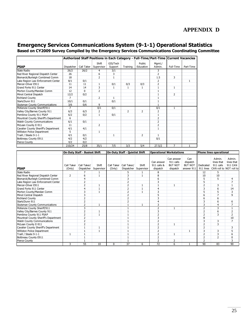## **Emergency Services Communications System (9-1-1) Operational Statistics**

**Based on CY2009 Survey Compiled by the Emergency Services Communications Coordinating Committee**

|                                       |                |            |                |              |                |                | Authorized Staff Positions in Each Category - Full-Time/Part-Time Current Vacancies |                |              |
|---------------------------------------|----------------|------------|----------------|--------------|----------------|----------------|-------------------------------------------------------------------------------------|----------------|--------------|
|                                       |                |            | Shift          | GIS/Tech     |                | <b>Public</b>  | Mgmt./                                                                              |                |              |
| <b>PSAP</b>                           | Dispatcher     | Call Taker | Supervisor     | Support      | Training       | Education      | Admin.                                                                              | Full-Time      | Part-Time    |
| State Radio                           | 26/2           | 26/2       | 4              | 3/1          |                |                | 3                                                                                   |                |              |
| Red River Regional Dispatch Center    | 26             |            | 6              | 3            |                |                | 2                                                                                   |                |              |
| Bismarck/Burleigh Combined Comm       | 18             |            | $\overline{2}$ | $\mathbf{1}$ |                |                | 1.5                                                                                 | 3              |              |
| Lake Region Law Enforcement Center    | 8/1            | 0/1        |                |              |                |                | 2                                                                                   |                | $\mathbf{1}$ |
| Mercer-Oliver E911                    | 11             | 11         | $\mathbf{1}$   | 0/1          | 0/3            | 0/3            | $\overline{2}$                                                                      |                |              |
| Grand Forks 911 Center                | 14             | 14         | 3              | 1            | 1              | 1              | $\mathbf{1}$                                                                        | $\mathbf{1}$   |              |
| Morton County/Mandan Comm             | 12             | $\Omega$   | $\overline{2}$ |              |                |                |                                                                                     |                |              |
| Minot Central Dispatch                | 12/2           | 0/2        |                |              |                |                | $\mathbf{1}$                                                                        | $\overline{2}$ |              |
| <b>Richland County</b>                | $\overline{7}$ |            | $\overline{2}$ | $\mathbf{1}$ |                |                | $\mathbf{1}$                                                                        |                |              |
| Stark/Dunn 911                        | 10/1           | 0/1        |                | 0/1          |                |                | 1                                                                                   |                |              |
| <b>Stutsman County Communications</b> | 3/6            | 0/6        | 9              |              |                |                |                                                                                     |                |              |
| McKenzie County Sheriff/911           | $\overline{7}$ |            | 0/1            | 0/1          |                |                | 0/1                                                                                 | 1              |              |
| Valley City/Barnes County 911         | 6/3            | 6/3        | 2              |              | $\overline{2}$ | $\overline{2}$ | $\overline{2}$                                                                      |                |              |
| Pembina County 911 PSAP               | 6/2            | 0/2        | $\mathbf{1}$   | 0/1          |                |                | $\mathbf{1}$                                                                        |                |              |
| Mountrail County Sheriff's Department | 6              |            |                |              |                |                | $\overline{2}$                                                                      |                |              |
| <b>Walsh County Communications</b>    | 6/1            | 0/1        |                |              |                |                | $\overline{2}$                                                                      |                |              |
| McLean County E-911                   | 11             |            | $\overline{2}$ |              |                |                | $\overline{2}$                                                                      |                |              |
| Cavalier County Sheriff's Department  | 4/1            | 4/1        |                |              |                |                | $\mathbf{1}$                                                                        |                |              |
| Williston Police Department           | 5              |            | 1              |              |                |                |                                                                                     |                |              |
| Traill / Steele 9-1-1                 | 4/1            | 0/1        |                | 1            |                | $\overline{2}$ | $\mathbf{1}$                                                                        |                |              |
| Bottineau County E911                 | 4/2            | 4/2        |                |              |                |                | 0/1                                                                                 |                |              |
| Pierce County                         | 4/2            | 0/2        |                |              |                |                |                                                                                     |                |              |
|                                       | 210/24         | 25/8       | 35/1           | 7/5          | 3/3            | 5/4            | 27.5/2                                                                              | 7              |              |

|                                       |                      | <b>On-Duty Staff - Busiest Shift</b> |                     |                      | <b>On-Duty Staff - Quietist Shift</b> |                     | <b>Operational Workstations</b>       |                                                       |                                                 |                        | <b>Phone lines operational</b>    |                                                                   |
|---------------------------------------|----------------------|--------------------------------------|---------------------|----------------------|---------------------------------------|---------------------|---------------------------------------|-------------------------------------------------------|-------------------------------------------------|------------------------|-----------------------------------|-------------------------------------------------------------------|
| <b>PSAP</b>                           | Call Taker<br>(Only) | Call Taker/<br>Dispatcher            | Shift<br>Supervisor | Call Taker<br>(Only) | Call Taker/<br>Dispatcher             | Shift<br>Supervisor | Can answer<br>911 calls &<br>dispatch | Can answer<br>911 calls<br><b>BUT NOT</b><br>dispatch | Can<br>dispatch<br><b>BUT NOT</b><br>answer 911 | Dedicated<br>911 lines | Admin.<br>lines that<br>911 calls | Admin.<br>lines that<br><b>911 CAN</b><br>CAN roll to NOT roll to |
| <b>State Radio</b>                    |                      |                                      |                     |                      | 5                                     |                     | 8                                     |                                                       |                                                 | 12                     | 5                                 |                                                                   |
| Red River Regional Dispatch Center    | $\overline{2}$       | 6                                    |                     |                      | 3                                     |                     | 8                                     |                                                       |                                                 | 10                     | 10                                |                                                                   |
| Bismarck/Burleigh Combined Comm       |                      | 4                                    |                     |                      | 3                                     |                     | 6                                     |                                                       |                                                 | 5                      | 5                                 | 4                                                                 |
| Lake Region Law Enforcement Center    |                      | $\overline{2}$                       |                     |                      | $\overline{2}$                        |                     |                                       |                                                       |                                                 |                        |                                   |                                                                   |
| Mercer-Oliver E911                    |                      | $\overline{2}$                       |                     |                      | 2                                     |                     |                                       |                                                       |                                                 | $\overline{2}$         | 3                                 | $\mathbf{1}$                                                      |
| Grand Forks 911 Center                |                      | 4                                    |                     |                      | $\overline{2}$                        |                     |                                       |                                                       |                                                 |                        | 6                                 | 14                                                                |
| Morton County/Mandan Comm             |                      | 3                                    | $\mathbf{1}$        |                      | $\overline{2}$                        | $\mathbf{1}$        | 3                                     |                                                       |                                                 |                        | 5                                 | 3                                                                 |
| Minot Central Dispatch                |                      | 3                                    |                     |                      | $\overline{2}$                        |                     |                                       |                                                       |                                                 | 6                      | $\overline{7}$                    | 9                                                                 |
| <b>Richland County</b>                |                      | $\overline{2}$                       |                     |                      | $\overline{2}$                        |                     |                                       |                                                       |                                                 |                        | 6                                 |                                                                   |
| Stark/Dunn 911                        |                      | $\overline{2}$                       |                     |                      | $\overline{a}$                        |                     |                                       |                                                       |                                                 |                        | 6                                 | 6                                                                 |
| <b>Stutsman County Communications</b> |                      | h                                    |                     |                      |                                       |                     | 3                                     |                                                       |                                                 | ć                      | $\overline{a}$                    | $\overline{7}$                                                    |
| McKenzie County Sheriff/911           |                      | 3                                    |                     |                      |                                       |                     | $\mathcal{P}$                         |                                                       |                                                 | 2                      | 3                                 | $\mathbf{1}$                                                      |
| Valley City/Barnes County 911         |                      | $\overline{2}$                       |                     |                      |                                       |                     |                                       |                                                       |                                                 | ∠                      | 6                                 | $\overline{2}$                                                    |
| Pembina County 911 PSAP               |                      | $\overline{2}$                       |                     |                      |                                       |                     |                                       |                                                       |                                                 | $\overline{2}$         | 3                                 | $\overline{2}$                                                    |
| Mountrail County Sheriff's Department |                      |                                      |                     |                      |                                       |                     |                                       |                                                       |                                                 | 8                      |                                   | 10                                                                |
| <b>Walsh County Communications</b>    |                      | $\overline{2}$                       |                     |                      |                                       |                     |                                       |                                                       |                                                 |                        | 3                                 | $\overline{7}$                                                    |
| McLean County E-911                   |                      |                                      |                     |                      |                                       |                     |                                       |                                                       |                                                 | $\overline{2}$         | 3                                 |                                                                   |
| Cavalier County Sheriff's Department  |                      |                                      | $\mathbf{1}$        |                      |                                       |                     | $\overline{\phantom{a}}$              |                                                       |                                                 | $\overline{2}$         |                                   | 3                                                                 |
| Williston Police Department           |                      |                                      |                     |                      |                                       |                     |                                       |                                                       |                                                 | 3                      | 3                                 | 5                                                                 |
| Traill / Steele 9-1-1                 | 1                    |                                      |                     |                      |                                       |                     | $\overline{2}$                        | $\mathbf{1}$                                          |                                                 | $\overline{2}$         | 3                                 | 6                                                                 |
| Bottineau County E911                 |                      |                                      |                     |                      |                                       |                     |                                       |                                                       |                                                 |                        | $\overline{2}$                    | 0                                                                 |
| <b>Pierce County</b>                  |                      |                                      |                     |                      |                                       |                     | $\overline{\phantom{0}}$              | 2                                                     |                                                 | $\overline{2}$         |                                   | 3                                                                 |
|                                       | 3                    | 55                                   | 10                  | 0                    | 37                                    | 6                   | 72                                    | 6                                                     |                                                 | 90                     | 83                                | 90                                                                |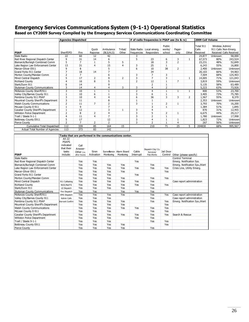## **Emergency Services Communications System (9-1-1) Operational Statistics**

**Based on CY2009 Survey Compiled by the Emergency Services Communications Coordinating Committee**

|                                       | <b>Agencies Dispatched</b> |                                                        |                  |                        |                          |                            | # of radio frequencies in PSAP use (tx & rx) |                            |                         |                          | 2009 Call Volume               |                 |                                                 |
|---------------------------------------|----------------------------|--------------------------------------------------------|------------------|------------------------|--------------------------|----------------------------|----------------------------------------------|----------------------------|-------------------------|--------------------------|--------------------------------|-----------------|-------------------------------------------------|
| <b>PSAP</b>                           | Sheriff/PD                 | Fire                                                   | Quick<br>Reponse | Ambulance<br>(BLS/ALS) | Tribal/<br>Other         | State Radio<br>frequencies | Local emerg.<br>Responders                   | Public<br>works/<br>school | Pager-<br>only          | Other                    | Total 911<br>Calls<br>Received | Wireless Admin/ | 911 Calls Non-Emerg.<br>Received Calls Received |
| State Radio                           | $\overline{22}$            | 60                                                     | 12               | 42                     |                          | 3                          |                                              |                            |                         |                          | 24,877                         | Unknown         | 58,000                                          |
| Red River Regional Dispatch Center    | 9                          | 31                                                     | 14               | 6                      |                          | 5                          | 23                                           | 6                          | 3                       | $\mathbf{1}$             | 67,573                         | 80%             | 243,524                                         |
| Bismarck/Burleigh Combined Comm       | 5                          | $\overline{7}$                                         | $\mathbf{1}$     | 5                      | 5                        |                            | 18                                           | 3                          | $\overline{2}$          |                          | 23,231                         | 48%             | 52,849                                          |
| Lake Region Law Enforcement Center    | 13                         | 31                                                     | $\overline{4}$   | 15                     | $\overline{4}$           | 3                          | 25                                           | $1\,$                      |                         |                          | 6,243                          | 55%             | 16,800                                          |
| Mercer-Oliver E911                    | $\overline{9}$             | 8                                                      |                  | 5                      |                          | $6\overline{6}$            | 10                                           | 38                         | $\overline{2}$          |                          | 2,400                          | Unknown         | Unknown                                         |
| Grand Forks 911 Center                | $\overline{7}$             | 18                                                     | 14               | $\overline{7}$         |                          |                            | 34                                           |                            |                         |                          | 20,103                         | 66%             | 54,963                                          |
| Morton County/Mandan Comm             | $\overline{2}$             | $\overline{7}$                                         |                  | 6                      |                          | 3                          | $\overline{7}$                               | 3                          |                         |                          | 7,504                          | 68%             | 125,403                                         |
| Minot Central Dispatch                | 5                          | 17                                                     | $\overline{2}$   | 9                      | $\overline{2}$           | $\overline{\mathbf{3}}$    | $\overline{7}$                               | 3                          |                         | 1                        | 14,005                         | 71%             | 121,043                                         |
| <b>Richland County</b>                | $\overline{4}$             | 16                                                     | 8                | 5                      |                          | $\overline{2}$             | 12                                           | $\mathbf{1}$               | $\overline{7}$          |                          | 3,819                          | 59%             | Unknown                                         |
| Stark/Dunn 911                        | 6                          | 14                                                     |                  | 9                      |                          |                            | $\overline{2}$                               | $1\,$                      |                         |                          | 5,135                          | 58%             | 63,489                                          |
| <b>Stutsman County Communications</b> | 3                          | 14                                                     | $\overline{4}$   | 4                      | 3                        | 3                          | $\overline{4}$                               | $\overline{2}$             |                         |                          | 5,223                          | 63%             | 73,926                                          |
| McKenzie County Sheriff/911           | 3                          | 10                                                     | 1                | 1                      |                          | $\overline{2}$             | $\overline{4}$                               | 1                          | $\mathbf{1}$            | 1                        | 800                            | 53%             | 23,700                                          |
| Valley City/Barnes County 911         | $\mathbf{1}$               | 10                                                     | 6                | $\mathbf{1}$           |                          | 3                          | 6                                            | $\mathbf{1}$               |                         |                          | 3,405                          | 73%             | 75,785                                          |
| Pembina County 911 PSAP               | 3                          | 10                                                     | $\overline{4}$   | 4                      |                          | 6                          | 36                                           | 3                          | 3                       | $\overline{2}$           | 1,567                          | 55%             | 8,370                                           |
| Mountrail County Sheriff's Department | 3                          | 11                                                     |                  | 8                      |                          | $1\,$                      | 1                                            |                            |                         |                          | 2,353                          | Unknown         | Unknown                                         |
| <b>Walsh County Communications</b>    | $\overline{2}$             | 11                                                     | $\overline{7}$   | 2                      |                          | 3                          | $\mathbf{1}$                                 | 2                          | $\mathbf{1}$            |                          | 3,793                          | 70%             | 16,200                                          |
| McLean County E-911                   | $\mathbf{1}$               | 9                                                      |                  | $\overline{7}$         |                          |                            | 3                                            | $\mathbf{1}$               |                         |                          | 1,384                          | 51%             | 1,845                                           |
| Cavalier County Sheriff's Department  | $\mathbf{1}$               | 12                                                     |                  | 3                      | $\mathbf{1}$             | 3                          | 4                                            |                            |                         |                          | 870                            | 31%             | 12,455                                          |
| Williston Police Department           | $\overline{2}$             | 8                                                      | $\overline{2}$   | 4                      |                          | 3                          | 5                                            | $\overline{2}$             | $\mathbf{1}$            |                          | 6,675                          | 44%             | 29,217                                          |
| Traill / Steele 9-1-1                 | $\overline{4}$             | 11                                                     | $\overline{4}$   | $\overline{7}$         |                          | $\overline{3}$             | $\overline{2}$                               | $\mathbf{1}$               |                         |                          | 1,780                          | Unknown         | 17,998                                          |
| Bottineau County E911                 | 5                          | 17                                                     |                  | 12                     |                          | 3                          | 4                                            | $\mathbf{1}$               | $\mathbf{1}$            |                          | 1,823                          | 72%             | Unknown                                         |
| <b>Pierce County</b>                  | $\overline{2}$             | $\overline{7}$                                         | $\overline{2}$   | $\overline{2}$         |                          | 3                          | $\overline{2}$                               | $\mathbf{1}$               | $\overline{4}$          |                          | 267                            | 56%             | Unknown                                         |
| Cumulative Total Dispatched           | 112                        | 339                                                    | 85               | 164                    | 15                       |                            | 210                                          | $\overline{71}$            | $\overline{25}$         | 5                        | 204830                         | 68%             | 995,567                                         |
| Actual Total Number of Agencies       | 113                        | 373                                                    | 83               | 142                    |                          |                            |                                              |                            |                         |                          |                                |                 |                                                 |
|                                       |                            |                                                        |                  |                        |                          |                            |                                              |                            |                         |                          |                                |                 |                                                 |
|                                       |                            | Tasks that are performed in the communications center. |                  |                        |                          |                            |                                              |                            |                         |                          |                                |                 |                                                 |
|                                       | <b>All 22</b>              |                                                        |                  |                        |                          |                            |                                              |                            |                         |                          |                                |                 |                                                 |
|                                       | <b>PSAPS</b><br>indicated  |                                                        |                  |                        |                          |                            |                                              |                            |                         |                          |                                |                 |                                                 |
|                                       | that their                 | Call                                                   |                  |                        |                          |                            |                                              |                            |                         |                          |                                |                 |                                                 |
|                                       | tasks                      | Answer-                                                | Siren            |                        | Surveillance Alarm Board | Cable                      | Dispatch City/ Co.                           | Jail Door                  |                         |                          |                                |                 |                                                 |
| <b>PSAP</b>                           | include:                   | Other (i.e.<br>after hours)                            | Activation       | Monitoring             | Monitoring               | Interrupt                  | Services/<br>Pub. Works                      | Control                    |                         | Other (please specify)   |                                |                 |                                                 |
| <b>State Radio</b>                    |                            |                                                        |                  |                        |                          |                            |                                              |                            | <b>Control Terminal</b> |                          |                                |                 |                                                 |
| Red River Regional Dispatch Center    |                            | Yes                                                    | Yes              |                        |                          | Yes                        |                                              |                            |                         |                          |                                |                 |                                                 |
|                                       |                            |                                                        |                  |                        |                          |                            |                                              |                            |                         | Emerg. Notification Sys. |                                |                 |                                                 |
| Bismarck/Burleigh Combined Comm       |                            | Yes                                                    | Yes              | Yes                    | Yes                      |                            | Yes                                          |                            |                         |                          | Emerg. Notification Sys./Alert |                 |                                                 |

| гэмг                                  | iliuuut.               |     | $\alpha$ are nows) ACUVACUT POINCHING PRODUCTING THE LIBRARY |     |     |     | <b>PUD. WORKS</b> |            | COTTUOT OUTER (DIEGSE SPECITY) |
|---------------------------------------|------------------------|-----|--------------------------------------------------------------|-----|-----|-----|-------------------|------------|--------------------------------|
| State Radio                           |                        |     |                                                              |     |     |     |                   |            | <b>Control Terminal</b>        |
| Red River Regional Dispatch Center    |                        | Yes | Yes                                                          |     |     | Yes |                   |            | Emerg. Notification Sys.       |
| Bismarck/Burleigh Combined Comm       |                        | Yes | Yes                                                          | Yes | Yes |     | Yes               |            | Emerg. Notification Sys./Alert |
| Lake Region Law Enforcement Center    |                        | Yes | Yes                                                          | Yes | Yes | Yes | Yes               | Yes        | Crisis Line, Utility Emerg.    |
| Mercer-Oliver E911                    |                        | Yes | Yes                                                          | Yes | Yes |     |                   | Yes        |                                |
| Grand Forks 911 Center                |                        | Yes | Yes                                                          | Yes |     | Yes |                   |            |                                |
| Morton County/Mandan Comm             |                        | Yes | Yes                                                          | Yes | Yes |     | Yes               | Yes        |                                |
| Minot Central Dispatch                | 911 Calltaking         | Yes | Yes                                                          | Yes | Yes | Yes | Yes               |            | Case report administration     |
| <b>Richland County</b>                | NCIC/NLETS             | Yes | Yes                                                          | Yes | Yes | Yes | Yes               | Yes        |                                |
| Stark/Dunn 911                        | LE Dispatch            | Yes | Yes                                                          | Yes | Yes |     | Yes               |            |                                |
| <b>Stutsman County Communications</b> | Fire Dispatch          | Yes | Yes                                                          |     | Yes | Yes | Yes               |            |                                |
| McKenzie County Sheriff/911           | <b>EMS Dispatch</b>    | Yes | Yes                                                          | Yes | Yes |     | Yes               | Yes        | Case report administration     |
| Valley City/Barnes County 911         | Admin Calls            | Yes | Yes                                                          | Yes |     |     | Yes               |            | Case report administration     |
| Pembina County 911 PSAP               | <b>Narrant Confirm</b> | Yes | Yes                                                          | Yes | Yes |     | Yes               | Yes        | Emerg. Notification Sys./Alert |
| Mountrail County Sheriff's Department |                        | Yes | Yes                                                          | Yes | Yes |     |                   | Yes        |                                |
| <b>Walsh County Communications</b>    |                        | Yes | Yes                                                          | Yes | Yes | Yes | Yes               | Yes        |                                |
| McLean County E-911                   |                        | Yes | Yes                                                          | Yes |     |     | Yes               | Yes        |                                |
| Cavalier County Sheriff's Department  |                        | Yes | Yes                                                          | Yes | Yes | Yes | Yes               | <b>Yes</b> | Search & Rescue                |
| Williston Police Department           |                        | Yes | Yes                                                          | Yes |     | Yes | Yes               |            |                                |
| Traill / Steele 9-1-1                 |                        | Yes | Yes                                                          | Yes |     |     | Yes               | Yes        |                                |
| Bottineau County E911                 |                        | Yes | Yes                                                          | Yes | Yes |     |                   | Yes        |                                |
| Pierce County                         |                        | Yes | Yes                                                          | Yes | Yes |     | Yes               |            |                                |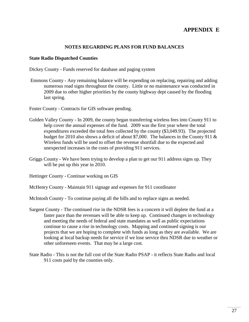# **APPENDIX E**

## **NOTES REGARDING PLANS FOR FUND BALANCES**

#### **State Radio Dispatched Counties**

Dickey County - Funds reserved for database and paging system

Emmons County - Any remaining balance will be expending on replacing, repairing and adding numerous road signs throughout the county. Little or no maintenance was conducted in 2009 due to other higher priorities by the county highway dept caused by the flooding last spring.

Foster County - Contracts for GIS software pending.

- Golden Valley County In 2009, the county began transferring wireless fees into County 911 to help cover the annual expenses of the fund. 2009 was the first year where the total expenditures exceeded the total fees collected by the county (\$3,049.93). The projected budget for 2010 also shows a deficit of about \$7,000. The balances in the County 911 & Wireless funds will be used to offset the revenue shortfall due to the expected and unexpected increases in the costs of providing 911 services.
- Griggs County We have been trying to develop a plan to get our 911 address signs up. They will be put up this year in 2010.

Hettinger County - Continue working on GIS

McHenry County - Maintain 911 signage and expenses for 911 coordinator

McIntosh County - To continue paying all the bills and to replace signs as needed.

- Sargent County The continued rise in the NDSR fees is a concern it will deplete the fund at a faster pace than the revenues will be able to keep up. Continued changes in technology and meeting the needs of federal and state mandates as well as public expectations continue to cause a rise in technology costs. Mapping and continued signing is our projects that we are hoping to complete with funds as long as they are available. We are looking at local backup needs for service if we lose service thru NDSR due to weather or other unforeseen events. That may be a large cost.
- State Radio This is not the full cost of the State Radio PSAP it reflects State Radio and local 911 costs paid by the counties only.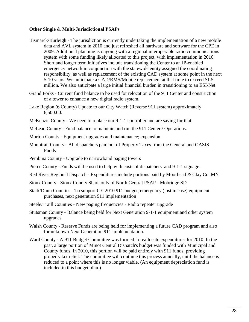### **Other Single & Multi-Jurisdictional PSAPs**

- Bismarck/Burleigh The jurisdiction is currently undertaking the implementation of a new mobile data and AVL system in 2010 and just refreshed all hardware and software for the CPE in 2009. Additional planning is ongoing with a regional interoperable radio communications system with some funding likely allocated to this project, with implementation in 2010. Short and longer term initiatives include transitioning the Center to an IP-enabled emergency network in conjunction with the statewide entity assigned the coordinating responsibility, as well as replacement of the existing CAD system at some point in the next 5-10 years. We anticipate a CAD/RMS/Mobile replacement at that time to exceed \$1.5 million. We also anticipate a large initial financial burden in transitioning to an ESI-Net.
- Grand Forks Current fund balance to be used for relocation of the 911 Center and construction of a tower to enhance a new digital radio system.
- Lake Region (6 County) Update to our City Watch (Reverse 911 system) approximately 6,500.00.
- McKenzie County We need to replace our 9-1-1 controller and are saving for that.
- McLean County Fund balance to maintain and run the 911 Center / Operations.
- Morton County Equipment upgrades and maintenance; expansion
- Mountrail County All dispatchers paid out of Property Taxes from the General and OASIS Funds
- Pembina County Upgrade to narrowband paging towers
- Pierce County Funds will be used to help with costs of dispatchers and 9-1-1 signage.
- Red River Regional Dispatch Expenditures include portions paid by Moorhead & Clay Co. MN
- Sioux County Sioux County Share only of North Central PSAP Mobridge SD
- Stark/Dunn Counties To support CY 2010 911 budget, emergency (just in case) equipment purchases, next generation 911 implementation
- Steele/Traill Counties New paging frequencies Radio repeater upgrade
- Stutsman County Balance being held for Next Generation 9-1-1 equipment and other system upgrades
- Walsh County Reserve Funds are being held for implementing a future CAD program and also for unknown Next Generation 911 implementation.
- Ward County A 911 Budget Committee was formed to reallocate expenditures for 2010. In the past, a large portion of Minot Central Dispatch's budget was funded with Municipal and County funds. In 2010, this portion will be paid entirely with 911 funds, providing property tax relief. The committee will continue this process annually, until the balance is reduced to a point where this is no longer viable. (An equipment depreciation fund is included in this budget plan.)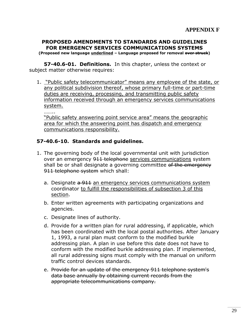## **PROPOSED AMENDMENTS TO STANDARDS AND GUIDELINES FOR EMERGENCY SERVICES COMMUNICATIONS SYSTEMS (Proposed new language underlined – Language proposed for removal over struck)**

**57-40.6-01. Definitions.** In this chapter, unless the context or subject matter otherwise requires:

1. "Public safety telecommunicator" means any employee of the state, or any political subdivision thereof, whose primary full-time or part-time duties are receiving, processing, and transmitting public safety information received through an emergency services communications system.

……..

"Public safety answering point service area" means the geographic area for which the answering point has dispatch and emergency communications responsibility.

## **57-40.6-10. Standards and guidelines.**

- 1. The governing body of the local governmental unit with jurisdiction over an emergency 911 telephone services communications system shall be or shall designate a governing committee of the emergency 911 telephone system which shall:
	- a. Designate a 911 an emergency services communications system coordinator to fulfill the responsibilities of subsection 3 of this section.
	- b. Enter written agreements with participating organizations and agencies.
	- c. Designate lines of authority.
	- d. Provide for a written plan for rural addressing, if applicable, which has been coordinated with the local postal authorities. After January 1, 1993, a rural plan must conform to the modified burkle addressing plan. A plan in use before this date does not have to conform with the modified burkle addressing plan. If implemented, all rural addressing signs must comply with the manual on uniform traffic control devices standards.
	- e. Provide for an update of the emergency 911 telephone system's data base annually by obtaining current records from the appropriate telecommunications company.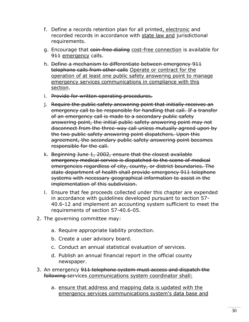- f. Define a records retention plan for all printed, electronic and recorded records in accordance with state law and jurisdictional requirements.
- g. Encourage that coin-free dialing cost-free connection is available for 911 emergency calls.
- h. Define a mechanism to differentiate between emergency 911 telephone calls from other calls Operate or contract for the operation of at least one public safety answering point to manage emergency services communications in compliance with this section.
- i. Provide for written operating procedures.
- j. Require the public safety answering point that initially receives an emergency call to be responsible for handling that call. If a transfer of an emergency call is made to a secondary public safety answering point, the initial public safety answering point may not disconnect from the three-way call unless mutually agreed upon by the two public safety answering point dispatchers. Upon this agreement, the secondary public safety answering point becomes responsible for the call.
- k. Beginning June 1, 2002, ensure that the closest available emergency medical service is dispatched to the scene of medical emergencies regardless of city, county, or district boundaries. The state department of health shall provide emergency 911 telephone systems with necessary geographical information to assist in the implementation of this subdivision.
- l. Ensure that fee proceeds collected under this chapter are expended in accordance with guidelines developed pursuant to section 57- 40.6-12 and implement an accounting system sufficient to meet the requirements of section 57-40.6-05.
- 2. The governing committee may:
	- a. Require appropriate liability protection.
	- b. Create a user advisory board.
	- c. Conduct an annual statistical evaluation of services.
	- d. Publish an annual financial report in the official county newspaper.
- 3. An emergency 911 telephone system must access and dispatch the following services communications system coordinator shall:
	- a. ensure that address and mapping data is updated with the emergency services communications system's data base and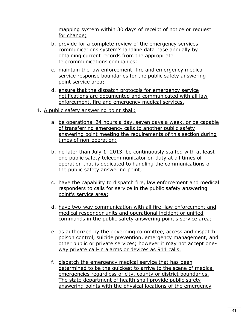mapping system within 30 days of receipt of notice or request for change;

- b. provide for a complete review of the emergency services communications system's landline data base annually by obtaining current records from the appropriate telecommunications companies;
- c. maintain the law enforcement, fire and emergency medical service response boundaries for the public safety answering point service area;
- d. ensure that the dispatch protocols for emergency service notifications are documented and communicated with all law enforcement, fire and emergency medical services.
- 4. A public safety answering point shall:
	- a. be operational 24 hours a day, seven days a week, or be capable of transferring emergency calls to another public safety answering point meeting the requirements of this section during times of non-operation;
	- b. no later than July 1, 2013, be continuously staffed with at least one public safety telecommunicator on duty at all times of operation that is dedicated to handling the communications of the public safety answering point;
	- c. have the capability to dispatch fire, law enforcement and medical responders to calls for service in the public safety answering point's service area;
	- d. have two-way communication with all fire, law enforcement and medical responder units and operational incident or unified commands in the public safety answering point's service area;
	- e. as authorized by the governing committee, access and dispatch poison control, suicide prevention, emergency management, and other public or private services; however it may not accept oneway private call-in alarms or devices as 911 calls.
	- f. dispatch the emergency medical service that has been determined to be the quickest to arrive to the scene of medical emergencies regardless of city, county or district boundaries. The state department of health shall provide public safety answering points with the physical locations of the emergency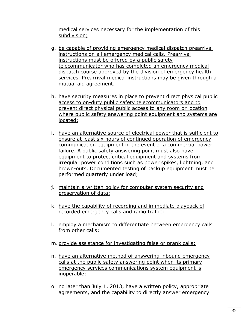medical services necessary for the implementation of this subdivision;

- g. be capable of providing emergency medical dispatch prearrival instructions on all emergency medical calls. Prearrival instructions must be offered by a public safety telecommunicator who has completed an emergency medical dispatch course approved by the division of emergency health services. Prearrival medical instructions may be given through a mutual aid agreement.
- h. have security measures in place to prevent direct physical public access to on-duty public safety telecommunicators and to prevent direct physical public access to any room or location where public safety answering point equipment and systems are located;
- i. have an alternative source of electrical power that is sufficient to ensure at least six hours of continued operation of emergency communication equipment in the event of a commercial power failure. A public safety answering point must also have equipment to protect critical equipment and systems from irregular power conditions such as power spikes, lightning, and brown-outs. Documented testing of backup equipment must be performed quarterly under load;
- j. maintain a written policy for computer system security and preservation of data;
- k. have the capability of recording and immediate playback of recorded emergency calls and radio traffic;
- l. employ a mechanism to differentiate between emergency calls from other calls;
- m. provide assistance for investigating false or prank calls;
- n. have an alternative method of answering inbound emergency calls at the public safety answering point when its primary emergency services communications system equipment is inoperable;
- o. no later than July 1, 2013, have a written policy, appropriate agreements, and the capability to directly answer emergency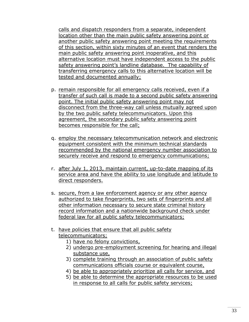calls and dispatch responders from a separate, independent location other than the main public safety answering point or another public safety answering point meeting the requirements of this section, within sixty minutes of an event that renders the main public safety answering point inoperative, and this alternative location must have independent access to the public safety answering point's landline database. The capability of transferring emergency calls to this alternative location will be tested and documented annually;

- p. remain responsible for all emergency calls received, even if a transfer of such call is made to a second public safety answering point. The initial public safety answering point may not disconnect from the three-way call unless mutually agreed upon by the two public safety telecommunicators. Upon this agreement, the secondary public safety answering point becomes responsible for the call;
- q. employ the necessary telecommunication network and electronic equipment consistent with the minimum technical standards recommended by the national emergency number association to securely receive and respond to emergency communications;
- r. after July 1, 2013, maintain current, up-to-date mapping of its service area and have the ability to use longitude and latitude to direct responders.
- s. secure, from a law enforcement agency or any other agency authorized to take fingerprints, two sets of fingerprints and all other information necessary to secure state criminal history record information and a nationwide background check under federal law for all public safety telecommunicators;
- t. have policies that ensure that all public safety telecommunicators;
	- 1) have no felony convictions,
	- 2) undergo pre-employment screening for hearing and illegal substance use,
	- 3) complete training through an association of public safety communications officials course or equivalent course,
	- 4) be able to appropriately prioritize all calls for service, and
	- 5) be able to determine the appropriate resources to be used in response to all calls for public safety services;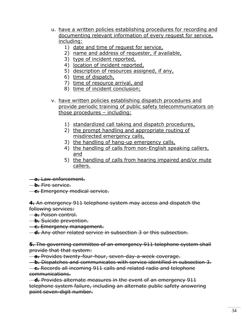- u. have a written policies establishing procedures for recording and documenting relevant information of every request for service, including:
	- 1) date and time of request for service,
	- 2) name and address of requester, if available,
	- 3) type of incident reported,
	- 4) location of incident reported,
	- 5) description of resources assigned, if any,
	- 6) time of dispatch,
	- 7) time of resource arrival, and
	- 8) time of incident conclusion;
- v. have written policies establishing dispatch procedures and provide periodic training of public safety telecommunicators on those procedures – including:
	- 1) standardized call taking and dispatch procedures,
	- 2) the prompt handling and appropriate routing of misdirected emergency calls,
	- 3) the handling of hang-up emergency calls,
	- 4) the handling of calls from non-English speaking callers, and
	- 5) the handling of calls from hearing impaired and/or mute callers.

**a.** Law enforcement.

- **b.** Fire service.
- **c.** Emergency medical service.

**4.** An emergency 911 telephone system may access and dispatch the following services:

- **a.** Poison control.
- **b.** Suicide prevention.
- **c.** Emergency management.

**d.** Any other related service in subsection 3 or this subsection.

**5.** The governing committee of an emergency 911 telephone system shall provide that that system:

**a.** Provides twenty-four-hour, seven-day-a-week coverage.

 **b.** Dispatches and communicates with service identified in subsection 3. **c.** Records all incoming 911 calls and related radio and telephone communications.

 **d.** Provides alternate measures in the event of an emergency 911 telephone system failure, including an alternate public safety answering point seven-digit number.